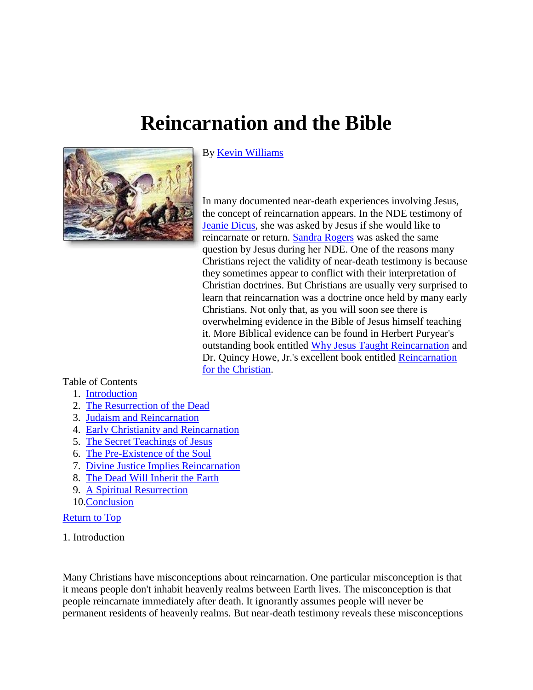# **Reincarnation and the Bible**



#### By Kevin Williams

In many documented near-death experiences involving Jesus, the concept of reincarnation appears. In the NDE testimony of [Jeanie Dicus,](http://www.near-death.com/experiences/reincarnation05.html) she was asked by Jesus if she would like to reincarnate or return. [Sandra Rogers](http://www.near-death.com/experiences/suicide03.html) was asked the same question by Jesus during her NDE. One of the reasons many Christians reject the validity of near-death testimony is because they sometimes appear to conflict with their interpretation of Christian doctrines. But Christians are usually very surprised to learn that reincarnation was a doctrine once held by many early Christians. Not only that, as you will soon see there is overwhelming evidence in the Bible of Jesus himself teaching it. More Biblical evidence can be found in Herbert Puryear's outstanding book entitled [Why Jesus Taught Reincarnation](http://www.amazon.com/dp/0963496492/?tag=neardeathcom-20) and Dr. Quincy Howe, Jr.'s excellent book entitled [Reincarnation](http://www.amazon.com/dp/0835606260/?tag=neardeathcom-20)  [for the Christian.](http://www.amazon.com/dp/0835606260/?tag=neardeathcom-20)

# Table of Contents

- 1. [Introduction](http://www.near-death.com/experiences/rebirth01.html#a01)
- 2. [The Resurrection of the Dead](http://www.near-death.com/experiences/rebirth01.html#a02)
- 3. [Judaism and Reincarnation](http://www.near-death.com/experiences/rebirth01.html#a03)
- 4. [Early Christianity and Reincarnation](http://www.near-death.com/experiences/rebirth01.html#a04)
- 5. [The Secret Teachings of Jesus](http://www.near-death.com/experiences/rebirth01.html#a05)
- 6. [The Pre-Existence of the Soul](http://www.near-death.com/experiences/rebirth01.html#a06)
- 7. [Divine Justice Implies Reincarnation](http://www.near-death.com/experiences/rebirth01.html#a07)
- 8. [The Dead Will Inherit the Earth](http://www.near-death.com/experiences/rebirth01.html#a08)
- 9. [A Spiritual Resurrection](http://www.near-death.com/experiences/rebirth01.html#a09)
- 10[.Conclusion](http://www.near-death.com/experiences/rebirth01.html#a10)

#### [Return to Top](http://www.near-death.com/experiences/rebirth01.html#top)

1. Introduction

Many Christians have misconceptions about reincarnation. One particular misconception is that it means people don't inhabit heavenly realms between Earth lives. The misconception is that people reincarnate immediately after death. It ignorantly assumes people will never be permanent residents of heavenly realms. But near-death testimony reveals these misconceptions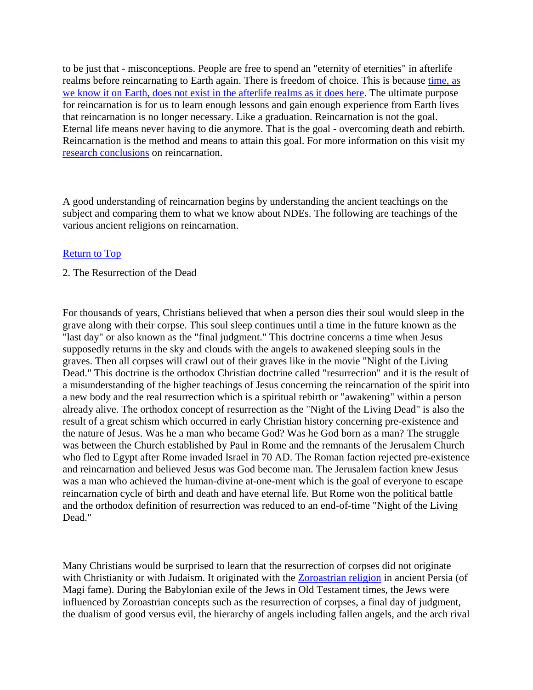to be just that - misconceptions. People are free to spend an "eternity of eternities" in afterlife realms before reincarnating to Earth again. There is freedom of choice. This is because [time, as](http://www.near-death.com/experiences/research13.html)  [we know it on Earth, does not exist in the afterlife realms as it does here.](http://www.near-death.com/experiences/research13.html) The ultimate purpose for reincarnation is for us to learn enough lessons and gain enough experience from Earth lives that reincarnation is no longer necessary. Like a graduation. Reincarnation is not the goal. Eternal life means never having to die anymore. That is the goal - overcoming death and rebirth. Reincarnation is the method and means to attain this goal. For more information on this visit my [research conclusions](http://www.near-death.com/experiences/research35.html) on reincarnation.

A good understanding of reincarnation begins by understanding the ancient teachings on the subject and comparing them to what we know about NDEs. The following are teachings of the various ancient religions on reincarnation.

# [Return to Top](http://www.near-death.com/experiences/rebirth01.html#top)

#### 2. The Resurrection of the Dead

For thousands of years, Christians believed that when a person dies their soul would sleep in the grave along with their corpse. This soul sleep continues until a time in the future known as the "last day" or also known as the "final judgment." This doctrine concerns a time when Jesus supposedly returns in the sky and clouds with the angels to awakened sleeping souls in the graves. Then all corpses will crawl out of their graves like in the movie "Night of the Living Dead." This doctrine is the orthodox Christian doctrine called "resurrection" and it is the result of a misunderstanding of the higher teachings of Jesus concerning the reincarnation of the spirit into a new body and the real resurrection which is a spiritual rebirth or "awakening" within a person already alive. The orthodox concept of resurrection as the "Night of the Living Dead" is also the result of a great schism which occurred in early Christian history concerning pre-existence and the nature of Jesus. Was he a man who became God? Was he God born as a man? The struggle was between the Church established by Paul in Rome and the remnants of the Jerusalem Church who fled to Egypt after Rome invaded Israel in 70 AD. The Roman faction rejected pre-existence and reincarnation and believed Jesus was God become man. The Jerusalem faction knew Jesus was a man who achieved the human-divine at-one-ment which is the goal of everyone to escape reincarnation cycle of birth and death and have eternal life. But Rome won the political battle and the orthodox definition of resurrection was reduced to an end-of-time "Night of the Living Dead."

Many Christians would be surprised to learn that the resurrection of corpses did not originate with Christianity or with Judaism. It originated with the [Zoroastrian religion](http://mb-soft.com/believe/txo/zoroastr.htm) in ancient Persia (of Magi fame). During the Babylonian exile of the Jews in Old Testament times, the Jews were influenced by Zoroastrian concepts such as the resurrection of corpses, a final day of judgment, the dualism of good versus evil, the hierarchy of angels including fallen angels, and the arch rival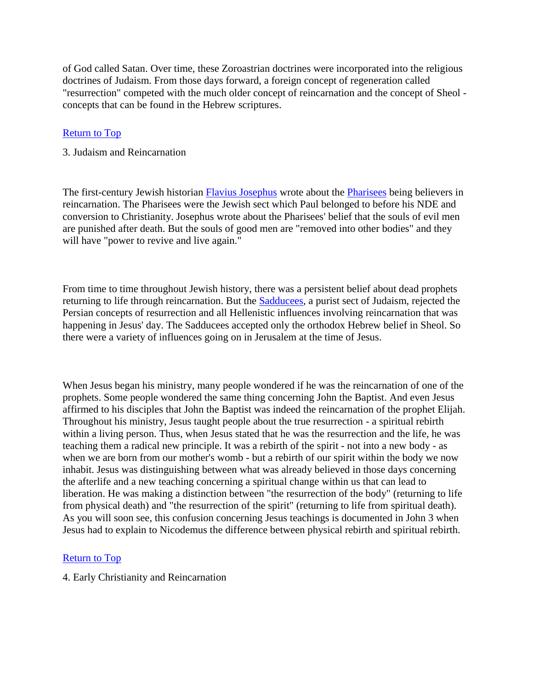of God called Satan. Over time, these Zoroastrian doctrines were incorporated into the religious doctrines of Judaism. From those days forward, a foreign concept of regeneration called "resurrection" competed with the much older concept of reincarnation and the concept of Sheol concepts that can be found in the Hebrew scriptures.

# [Return to Top](http://www.near-death.com/experiences/rebirth01.html#top)

#### 3. Judaism and Reincarnation

The first-century Jewish historian [Flavius Josephus](http://members.aol.com/FLJOSEPHUS/home.htm) wrote about the [Pharisees](http://www.livius.org/saa-san/sadducees/sadducees.html?artid=252&letter=P&search=Pharisees) being believers in reincarnation. The Pharisees were the Jewish sect which Paul belonged to before his NDE and conversion to Christianity. Josephus wrote about the Pharisees' belief that the souls of evil men are punished after death. But the souls of good men are "removed into other bodies" and they will have "power to revive and live again."

From time to time throughout Jewish history, there was a persistent belief about dead prophets returning to life through reincarnation. But the [Sadducees,](http://www.livius.org/saa-san/sadducees/sadducees.html?artid=40&letter=S) a purist sect of Judaism, rejected the Persian concepts of resurrection and all Hellenistic influences involving reincarnation that was happening in Jesus' day. The Sadducees accepted only the orthodox Hebrew belief in Sheol. So there were a variety of influences going on in Jerusalem at the time of Jesus.

When Jesus began his ministry, many people wondered if he was the reincarnation of one of the prophets. Some people wondered the same thing concerning John the Baptist. And even Jesus affirmed to his disciples that John the Baptist was indeed the reincarnation of the prophet Elijah. Throughout his ministry, Jesus taught people about the true resurrection - a spiritual rebirth within a living person. Thus, when Jesus stated that he was the resurrection and the life, he was teaching them a radical new principle. It was a rebirth of the spirit - not into a new body - as when we are born from our mother's womb - but a rebirth of our spirit within the body we now inhabit. Jesus was distinguishing between what was already believed in those days concerning the afterlife and a new teaching concerning a spiritual change within us that can lead to liberation. He was making a distinction between "the resurrection of the body" (returning to life from physical death) and "the resurrection of the spirit" (returning to life from spiritual death). As you will soon see, this confusion concerning Jesus teachings is documented in John 3 when Jesus had to explain to Nicodemus the difference between physical rebirth and spiritual rebirth.

# [Return to Top](http://www.near-death.com/experiences/rebirth01.html#top)

# 4. Early Christianity and Reincarnation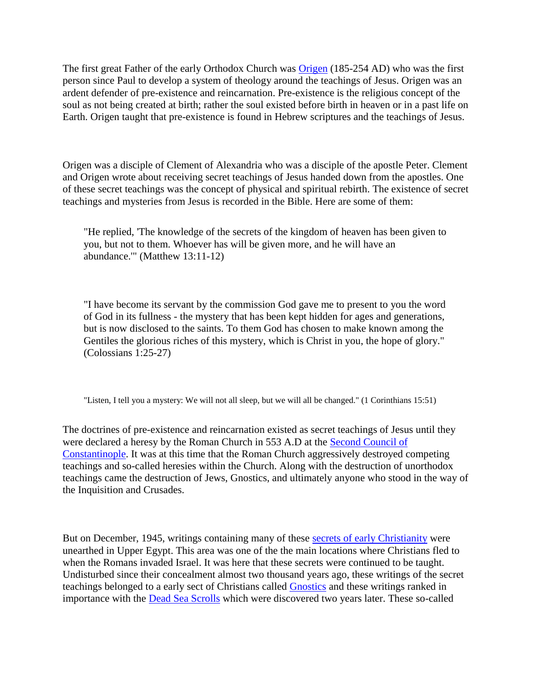The first great Father of the early Orthodox Church was [Origen](http://www.utm.edu/research/iep/o/origen.htm) (185-254 AD) who was the first person since Paul to develop a system of theology around the teachings of Jesus. Origen was an ardent defender of pre-existence and reincarnation. Pre-existence is the religious concept of the soul as not being created at birth; rather the soul existed before birth in heaven or in a past life on Earth. Origen taught that pre-existence is found in Hebrew scriptures and the teachings of Jesus.

Origen was a disciple of Clement of Alexandria who was a disciple of the apostle Peter. Clement and Origen wrote about receiving secret teachings of Jesus handed down from the apostles. One of these secret teachings was the concept of physical and spiritual rebirth. The existence of secret teachings and mysteries from Jesus is recorded in the Bible. Here are some of them:

"He replied, 'The knowledge of the secrets of the kingdom of heaven has been given to you, but not to them. Whoever has will be given more, and he will have an abundance.'" (Matthew 13:11-12)

"I have become its servant by the commission God gave me to present to you the word of God in its fullness - the mystery that has been kept hidden for ages and generations, but is now disclosed to the saints. To them God has chosen to make known among the Gentiles the glorious riches of this mystery, which is Christ in you, the hope of glory." (Colossians 1:25-27)

"Listen, I tell you a mystery: We will not all sleep, but we will all be changed." (1 Corinthians 15:51)

The doctrines of pre-existence and reincarnation existed as secret teachings of Jesus until they were declared a heresy by the Roman Church in 553 A.D at the [Second Council of](http://en.wikipedia.org/wiki/Second_Council_of_Constantinople)  [Constantinople.](http://en.wikipedia.org/wiki/Second_Council_of_Constantinople) It was at this time that the Roman Church aggressively destroyed competing teachings and so-called heresies within the Church. Along with the destruction of unorthodox teachings came the destruction of Jews, Gnostics, and ultimately anyone who stood in the way of the Inquisition and Crusades.

But on December, 1945, writings containing many of these [secrets of early Christianity](http://en.wikipedia.org/wiki/Nag_Hammadi_library) were unearthed in Upper Egypt. This area was one of the the main locations where Christians fled to when the Romans invaded Israel. It was here that these secrets were continued to be taught. Undisturbed since their concealment almost two thousand years ago, these writings of the secret teachings belonged to a early sect of Christians called [Gnostics](http://en.wikipedia.org/wiki/Fathers_of_Christian_Gnosticism) and these writings ranked in importance with the [Dead Sea Scrolls](http://en.wikipedia.org/wiki/Dead_Sea_Scrolls) which were discovered two years later. These so-called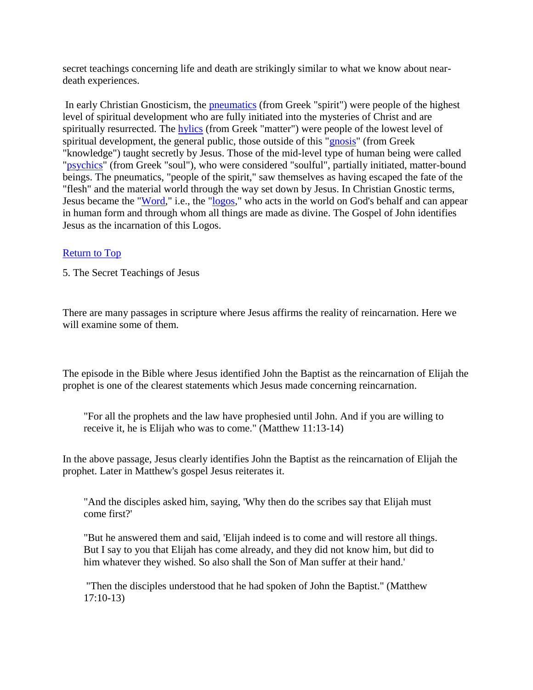secret teachings concerning life and death are strikingly similar to what we know about neardeath experiences.

In early Christian Gnosticism, the [pneumatics](http://en.wikipedia.org/wiki/Pneumatic_%28Gnosticism%29) (from Greek "spirit") were people of the highest level of spiritual development who are fully initiated into the mysteries of Christ and are spiritually resurrected. The [hylics](http://en.wikipedia.org/wiki/Hylics) (from Greek "matter") were people of the lowest level of spiritual development, the general public, those outside of this ["gnosis"](http://en.wikipedia.org/wiki/Gnosis) (from Greek "knowledge") taught secretly by Jesus. Those of the mid-level type of human being were called ["psychics"](http://en.wikipedia.org/wiki/Soul) (from Greek "soul"), who were considered "soulful", partially initiated, matter-bound beings. The pneumatics, "people of the spirit," saw themselves as having escaped the fate of the "flesh" and the material world through the way set down by Jesus. In Christian Gnostic terms, Jesus became the ["Word,](http://en.wikipedia.org/wiki/John_1:1)" i.e., the ["logos,](http://en.wikipedia.org/wiki/Logos_%28Christianity%29)" who acts in the world on God's behalf and can appear in human form and through whom all things are made as divine. The Gospel of John identifies Jesus as the incarnation of this Logos.

# [Return to Top](http://www.near-death.com/experiences/rebirth01.html#top)

5. The Secret Teachings of Jesus

There are many passages in scripture where Jesus affirms the reality of reincarnation. Here we will examine some of them.

The episode in the Bible where Jesus identified John the Baptist as the reincarnation of Elijah the prophet is one of the clearest statements which Jesus made concerning reincarnation.

"For all the prophets and the law have prophesied until John. And if you are willing to receive it, he is Elijah who was to come." (Matthew 11:13-14)

In the above passage, Jesus clearly identifies John the Baptist as the reincarnation of Elijah the prophet. Later in Matthew's gospel Jesus reiterates it.

"And the disciples asked him, saying, 'Why then do the scribes say that Elijah must come first?'

"But he answered them and said, 'Elijah indeed is to come and will restore all things. But I say to you that Elijah has come already, and they did not know him, but did to him whatever they wished. So also shall the Son of Man suffer at their hand.'

"Then the disciples understood that he had spoken of John the Baptist." (Matthew 17:10-13)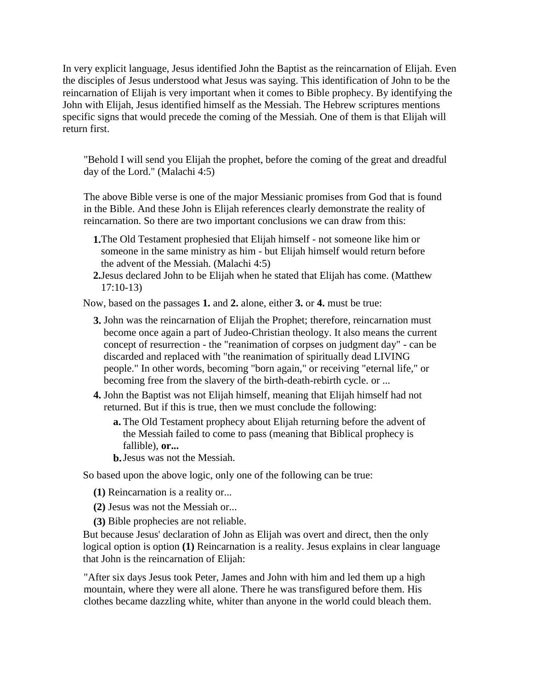In very explicit language, Jesus identified John the Baptist as the reincarnation of Elijah. Even the disciples of Jesus understood what Jesus was saying. This identification of John to be the reincarnation of Elijah is very important when it comes to Bible prophecy. By identifying the John with Elijah, Jesus identified himself as the Messiah. The Hebrew scriptures mentions specific signs that would precede the coming of the Messiah. One of them is that Elijah will return first.

"Behold I will send you Elijah the prophet, before the coming of the great and dreadful day of the Lord." (Malachi 4:5)

The above Bible verse is one of the major Messianic promises from God that is found in the Bible. And these John is Elijah references clearly demonstrate the reality of reincarnation. So there are two important conclusions we can draw from this:

- **1.**The Old Testament prophesied that Elijah himself not someone like him or someone in the same ministry as him - but Elijah himself would return before the advent of the Messiah. (Malachi 4:5)
- **2.**Jesus declared John to be Elijah when he stated that Elijah has come. (Matthew 17:10-13)

Now, based on the passages **1.** and **2.** alone, either **3.** or **4.** must be true:

- **3.** John was the reincarnation of Elijah the Prophet; therefore, reincarnation must become once again a part of Judeo-Christian theology. It also means the current concept of resurrection - the "reanimation of corpses on judgment day" - can be discarded and replaced with "the reanimation of spiritually dead LIVING people." In other words, becoming "born again," or receiving "eternal life," or becoming free from the slavery of the birth-death-rebirth cycle. or ...
- **4.** John the Baptist was not Elijah himself, meaning that Elijah himself had not returned. But if this is true, then we must conclude the following:
	- **a.** The Old Testament prophecy about Elijah returning before the advent of the Messiah failed to come to pass (meaning that Biblical prophecy is fallible), **or...**
	- **b.**Jesus was not the Messiah.

So based upon the above logic, only one of the following can be true:

- **(1)** Reincarnation is a reality or...
- **(2)** Jesus was not the Messiah or...
- **(3)** Bible prophecies are not reliable.

But because Jesus' declaration of John as Elijah was overt and direct, then the only logical option is option **(1)** Reincarnation is a reality. Jesus explains in clear language that John is the reincarnation of Elijah:

"After six days Jesus took Peter, James and John with him and led them up a high mountain, where they were all alone. There he was transfigured before them. His clothes became dazzling white, whiter than anyone in the world could bleach them.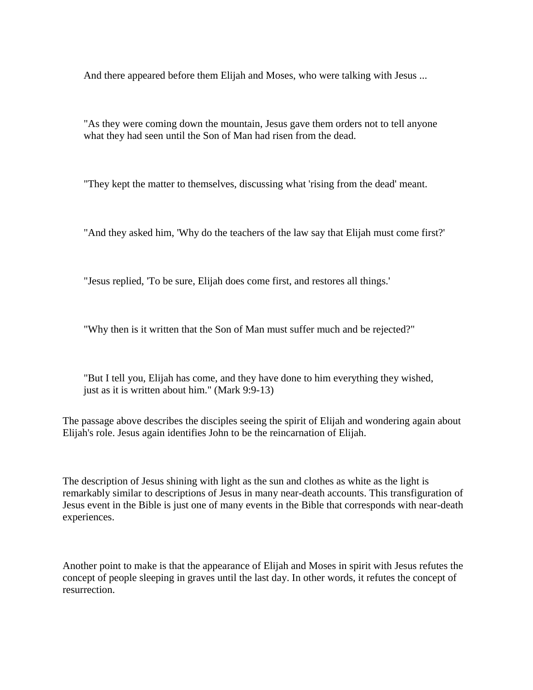And there appeared before them Elijah and Moses, who were talking with Jesus ...

"As they were coming down the mountain, Jesus gave them orders not to tell anyone what they had seen until the Son of Man had risen from the dead.

"They kept the matter to themselves, discussing what 'rising from the dead' meant.

"And they asked him, 'Why do the teachers of the law say that Elijah must come first?'

"Jesus replied, 'To be sure, Elijah does come first, and restores all things.'

"Why then is it written that the Son of Man must suffer much and be rejected?"

"But I tell you, Elijah has come, and they have done to him everything they wished, just as it is written about him." (Mark 9:9-13)

The passage above describes the disciples seeing the spirit of Elijah and wondering again about Elijah's role. Jesus again identifies John to be the reincarnation of Elijah.

The description of Jesus shining with light as the sun and clothes as white as the light is remarkably similar to descriptions of Jesus in many near-death accounts. This transfiguration of Jesus event in the Bible is just one of many events in the Bible that corresponds with near-death experiences.

Another point to make is that the appearance of Elijah and Moses in spirit with Jesus refutes the concept of people sleeping in graves until the last day. In other words, it refutes the concept of resurrection.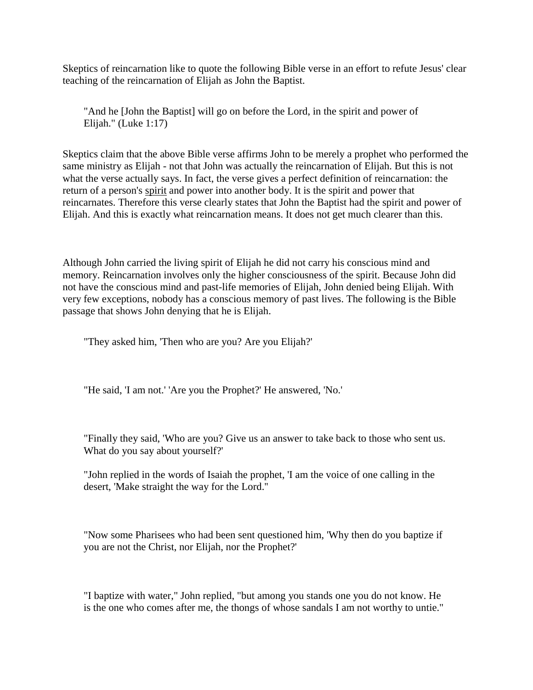Skeptics of reincarnation like to quote the following Bible verse in an effort to refute Jesus' clear teaching of the reincarnation of Elijah as John the Baptist.

"And he [John the Baptist] will go on before the Lord, in the spirit and power of Elijah." (Luke 1:17)

Skeptics claim that the above Bible verse affirms John to be merely a prophet who performed the same ministry as Elijah - not that John was actually the reincarnation of Elijah. But this is not what the verse actually says. In fact, the verse gives a perfect definition of reincarnation: the return of a person's spirit and power into another body. It is the spirit and power that reincarnates. Therefore this verse clearly states that John the Baptist had the spirit and power of Elijah. And this is exactly what reincarnation means. It does not get much clearer than this.

Although John carried the living spirit of Elijah he did not carry his conscious mind and memory. Reincarnation involves only the higher consciousness of the spirit. Because John did not have the conscious mind and past-life memories of Elijah, John denied being Elijah. With very few exceptions, nobody has a conscious memory of past lives. The following is the Bible passage that shows John denying that he is Elijah.

"They asked him, 'Then who are you? Are you Elijah?'

"He said, 'I am not.' 'Are you the Prophet?' He answered, 'No.'

"Finally they said, 'Who are you? Give us an answer to take back to those who sent us. What do you say about yourself?'

"John replied in the words of Isaiah the prophet, 'I am the voice of one calling in the desert, 'Make straight the way for the Lord.''

"Now some Pharisees who had been sent questioned him, 'Why then do you baptize if you are not the Christ, nor Elijah, nor the Prophet?'

"I baptize with water," John replied, "but among you stands one you do not know. He is the one who comes after me, the thongs of whose sandals I am not worthy to untie."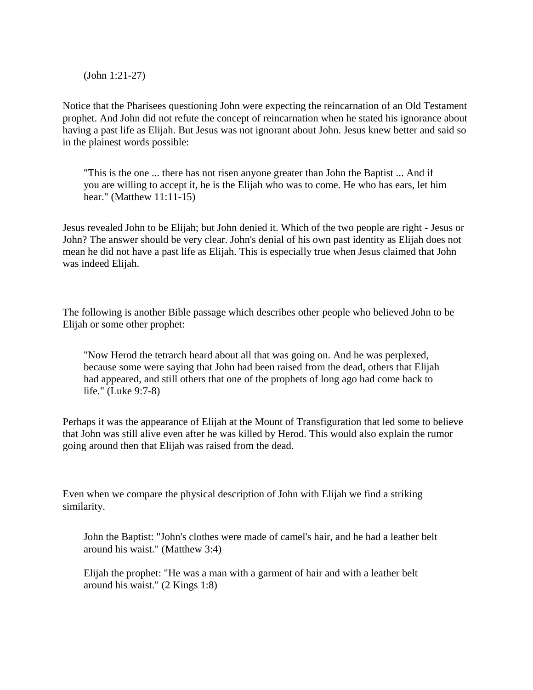(John 1:21-27)

Notice that the Pharisees questioning John were expecting the reincarnation of an Old Testament prophet. And John did not refute the concept of reincarnation when he stated his ignorance about having a past life as Elijah. But Jesus was not ignorant about John. Jesus knew better and said so in the plainest words possible:

"This is the one ... there has not risen anyone greater than John the Baptist ... And if you are willing to accept it, he is the Elijah who was to come. He who has ears, let him hear." (Matthew 11:11-15)

Jesus revealed John to be Elijah; but John denied it. Which of the two people are right - Jesus or John? The answer should be very clear. John's denial of his own past identity as Elijah does not mean he did not have a past life as Elijah. This is especially true when Jesus claimed that John was indeed Elijah.

The following is another Bible passage which describes other people who believed John to be Elijah or some other prophet:

"Now Herod the tetrarch heard about all that was going on. And he was perplexed, because some were saying that John had been raised from the dead, others that Elijah had appeared, and still others that one of the prophets of long ago had come back to life." (Luke 9:7-8)

Perhaps it was the appearance of Elijah at the Mount of Transfiguration that led some to believe that John was still alive even after he was killed by Herod. This would also explain the rumor going around then that Elijah was raised from the dead.

Even when we compare the physical description of John with Elijah we find a striking similarity.

John the Baptist: "John's clothes were made of camel's hair, and he had a leather belt around his waist." (Matthew 3:4)

Elijah the prophet: "He was a man with a garment of hair and with a leather belt around his waist." (2 Kings 1:8)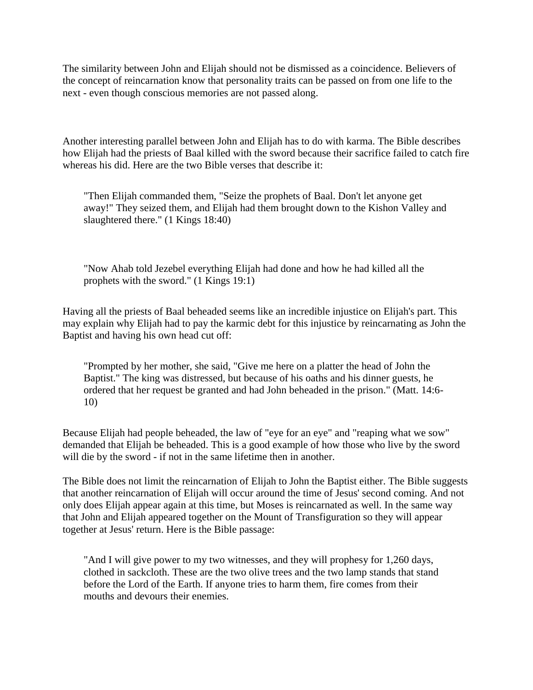The similarity between John and Elijah should not be dismissed as a coincidence. Believers of the concept of reincarnation know that personality traits can be passed on from one life to the next - even though conscious memories are not passed along.

Another interesting parallel between John and Elijah has to do with karma. The Bible describes how Elijah had the priests of Baal killed with the sword because their sacrifice failed to catch fire whereas his did. Here are the two Bible verses that describe it:

"Then Elijah commanded them, "Seize the prophets of Baal. Don't let anyone get away!" They seized them, and Elijah had them brought down to the Kishon Valley and slaughtered there." (1 Kings 18:40)

"Now Ahab told Jezebel everything Elijah had done and how he had killed all the prophets with the sword." (1 Kings 19:1)

Having all the priests of Baal beheaded seems like an incredible injustice on Elijah's part. This may explain why Elijah had to pay the karmic debt for this injustice by reincarnating as John the Baptist and having his own head cut off:

"Prompted by her mother, she said, "Give me here on a platter the head of John the Baptist." The king was distressed, but because of his oaths and his dinner guests, he ordered that her request be granted and had John beheaded in the prison." (Matt. 14:6- 10)

Because Elijah had people beheaded, the law of "eye for an eye" and "reaping what we sow" demanded that Elijah be beheaded. This is a good example of how those who live by the sword will die by the sword - if not in the same lifetime then in another.

The Bible does not limit the reincarnation of Elijah to John the Baptist either. The Bible suggests that another reincarnation of Elijah will occur around the time of Jesus' second coming. And not only does Elijah appear again at this time, but Moses is reincarnated as well. In the same way that John and Elijah appeared together on the Mount of Transfiguration so they will appear together at Jesus' return. Here is the Bible passage:

"And I will give power to my two witnesses, and they will prophesy for 1,260 days, clothed in sackcloth. These are the two olive trees and the two lamp stands that stand before the Lord of the Earth. If anyone tries to harm them, fire comes from their mouths and devours their enemies.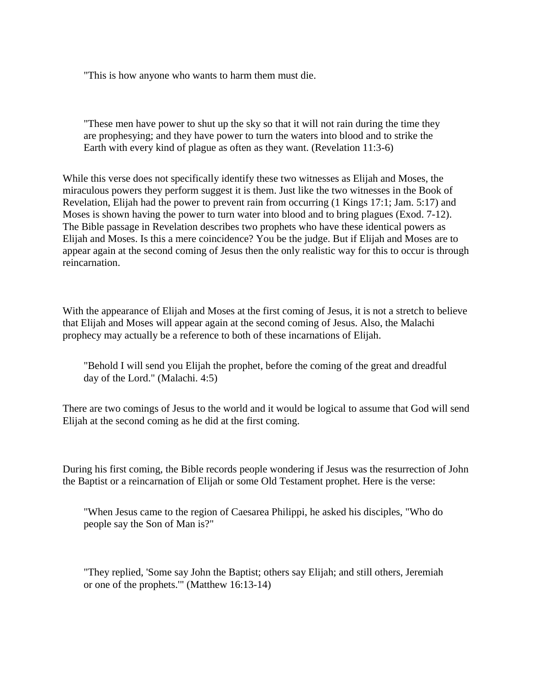"This is how anyone who wants to harm them must die.

"These men have power to shut up the sky so that it will not rain during the time they are prophesying; and they have power to turn the waters into blood and to strike the Earth with every kind of plague as often as they want. (Revelation 11:3-6)

While this verse does not specifically identify these two witnesses as Elijah and Moses, the miraculous powers they perform suggest it is them. Just like the two witnesses in the Book of Revelation, Elijah had the power to prevent rain from occurring (1 Kings 17:1; Jam. 5:17) and Moses is shown having the power to turn water into blood and to bring plagues (Exod. 7-12). The Bible passage in Revelation describes two prophets who have these identical powers as Elijah and Moses. Is this a mere coincidence? You be the judge. But if Elijah and Moses are to appear again at the second coming of Jesus then the only realistic way for this to occur is through reincarnation.

With the appearance of Elijah and Moses at the first coming of Jesus, it is not a stretch to believe that Elijah and Moses will appear again at the second coming of Jesus. Also, the Malachi prophecy may actually be a reference to both of these incarnations of Elijah.

"Behold I will send you Elijah the prophet, before the coming of the great and dreadful day of the Lord." (Malachi. 4:5)

There are two comings of Jesus to the world and it would be logical to assume that God will send Elijah at the second coming as he did at the first coming.

During his first coming, the Bible records people wondering if Jesus was the resurrection of John the Baptist or a reincarnation of Elijah or some Old Testament prophet. Here is the verse:

"When Jesus came to the region of Caesarea Philippi, he asked his disciples, "Who do people say the Son of Man is?"

"They replied, 'Some say John the Baptist; others say Elijah; and still others, Jeremiah or one of the prophets.'" (Matthew 16:13-14)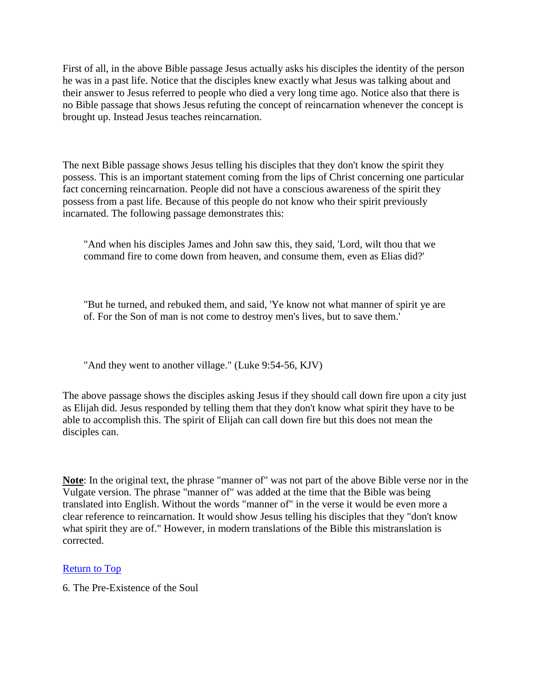First of all, in the above Bible passage Jesus actually asks his disciples the identity of the person he was in a past life. Notice that the disciples knew exactly what Jesus was talking about and their answer to Jesus referred to people who died a very long time ago. Notice also that there is no Bible passage that shows Jesus refuting the concept of reincarnation whenever the concept is brought up. Instead Jesus teaches reincarnation.

The next Bible passage shows Jesus telling his disciples that they don't know the spirit they possess. This is an important statement coming from the lips of Christ concerning one particular fact concerning reincarnation. People did not have a conscious awareness of the spirit they possess from a past life. Because of this people do not know who their spirit previously incarnated. The following passage demonstrates this:

"And when his disciples James and John saw this, they said, 'Lord, wilt thou that we command fire to come down from heaven, and consume them, even as Elias did?'

"But he turned, and rebuked them, and said, 'Ye know not what manner of spirit ye are of. For the Son of man is not come to destroy men's lives, but to save them.'

"And they went to another village." (Luke 9:54-56, KJV)

The above passage shows the disciples asking Jesus if they should call down fire upon a city just as Elijah did. Jesus responded by telling them that they don't know what spirit they have to be able to accomplish this. The spirit of Elijah can call down fire but this does not mean the disciples can.

**Note**: In the original text, the phrase "manner of" was not part of the above Bible verse nor in the Vulgate version. The phrase "manner of" was added at the time that the Bible was being translated into English. Without the words "manner of" in the verse it would be even more a clear reference to reincarnation. It would show Jesus telling his disciples that they "don't know what spirit they are of." However, in modern translations of the Bible this mistranslation is corrected.

# [Return to Top](http://www.near-death.com/experiences/rebirth01.html#top)

6. The Pre-Existence of the Soul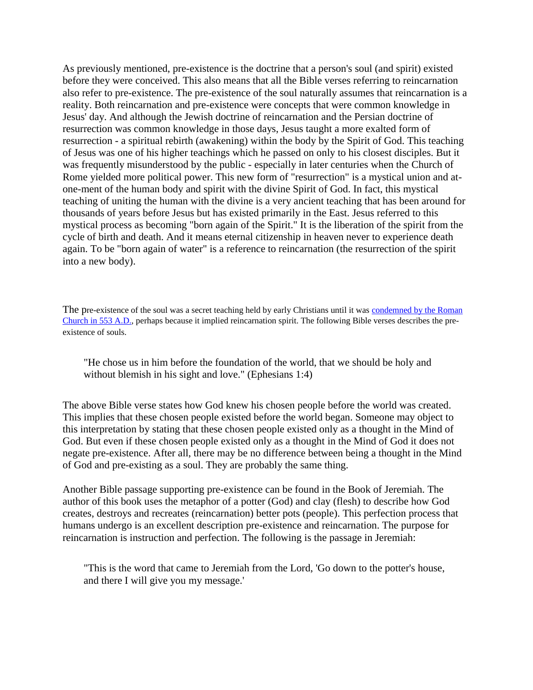As previously mentioned, pre-existence is the doctrine that a person's soul (and spirit) existed before they were conceived. This also means that all the Bible verses referring to reincarnation also refer to pre-existence. The pre-existence of the soul naturally assumes that reincarnation is a reality. Both reincarnation and pre-existence were concepts that were common knowledge in Jesus' day. And although the Jewish doctrine of reincarnation and the Persian doctrine of resurrection was common knowledge in those days, Jesus taught a more exalted form of resurrection - a spiritual rebirth (awakening) within the body by the Spirit of God. This teaching of Jesus was one of his higher teachings which he passed on only to his closest disciples. But it was frequently misunderstood by the public - especially in later centuries when the Church of Rome yielded more political power. This new form of "resurrection" is a mystical union and atone-ment of the human body and spirit with the divine Spirit of God. In fact, this mystical teaching of uniting the human with the divine is a very ancient teaching that has been around for thousands of years before Jesus but has existed primarily in the East. Jesus referred to this mystical process as becoming "born again of the Spirit." It is the liberation of the spirit from the cycle of birth and death. And it means eternal citizenship in heaven never to experience death again. To be "born again of water" is a reference to reincarnation (the resurrection of the spirit into a new body).

The pre-existence of the soul was a secret teaching held by early Christians until it was [condemned by the Roman](http://www.near-death.com/experiences/rebirth05.html)  [Church in 553 A.D.,](http://www.near-death.com/experiences/rebirth05.html) perhaps because it implied reincarnation spirit. The following Bible verses describes the preexistence of souls.

"He chose us in him before the foundation of the world, that we should be holy and without blemish in his sight and love." (Ephesians 1:4)

The above Bible verse states how God knew his chosen people before the world was created. This implies that these chosen people existed before the world began. Someone may object to this interpretation by stating that these chosen people existed only as a thought in the Mind of God. But even if these chosen people existed only as a thought in the Mind of God it does not negate pre-existence. After all, there may be no difference between being a thought in the Mind of God and pre-existing as a soul. They are probably the same thing.

Another Bible passage supporting pre-existence can be found in the Book of Jeremiah. The author of this book uses the metaphor of a potter (God) and clay (flesh) to describe how God creates, destroys and recreates (reincarnation) better pots (people). This perfection process that humans undergo is an excellent description pre-existence and reincarnation. The purpose for reincarnation is instruction and perfection. The following is the passage in Jeremiah:

"This is the word that came to Jeremiah from the Lord, 'Go down to the potter's house, and there I will give you my message.'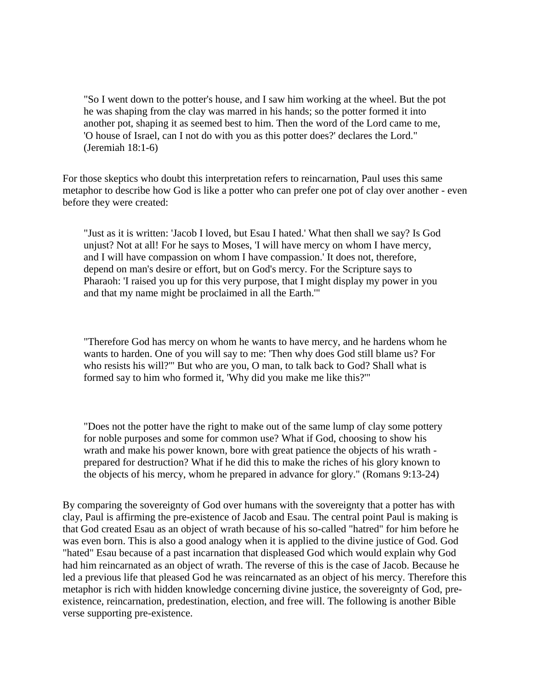"So I went down to the potter's house, and I saw him working at the wheel. But the pot he was shaping from the clay was marred in his hands; so the potter formed it into another pot, shaping it as seemed best to him. Then the word of the Lord came to me, 'O house of Israel, can I not do with you as this potter does?' declares the Lord." (Jeremiah 18:1-6)

For those skeptics who doubt this interpretation refers to reincarnation, Paul uses this same metaphor to describe how God is like a potter who can prefer one pot of clay over another - even before they were created:

"Just as it is written: 'Jacob I loved, but Esau I hated.' What then shall we say? Is God unjust? Not at all! For he says to Moses, 'I will have mercy on whom I have mercy, and I will have compassion on whom I have compassion.' It does not, therefore, depend on man's desire or effort, but on God's mercy. For the Scripture says to Pharaoh: 'I raised you up for this very purpose, that I might display my power in you and that my name might be proclaimed in all the Earth.'"

"Therefore God has mercy on whom he wants to have mercy, and he hardens whom he wants to harden. One of you will say to me: 'Then why does God still blame us? For who resists his will?'" But who are you, O man, to talk back to God? Shall what is formed say to him who formed it, 'Why did you make me like this?'"

"Does not the potter have the right to make out of the same lump of clay some pottery for noble purposes and some for common use? What if God, choosing to show his wrath and make his power known, bore with great patience the objects of his wrath prepared for destruction? What if he did this to make the riches of his glory known to the objects of his mercy, whom he prepared in advance for glory." (Romans 9:13-24)

By comparing the sovereignty of God over humans with the sovereignty that a potter has with clay, Paul is affirming the pre-existence of Jacob and Esau. The central point Paul is making is that God created Esau as an object of wrath because of his so-called "hatred" for him before he was even born. This is also a good analogy when it is applied to the divine justice of God. God "hated" Esau because of a past incarnation that displeased God which would explain why God had him reincarnated as an object of wrath. The reverse of this is the case of Jacob. Because he led a previous life that pleased God he was reincarnated as an object of his mercy. Therefore this metaphor is rich with hidden knowledge concerning divine justice, the sovereignty of God, preexistence, reincarnation, predestination, election, and free will. The following is another Bible verse supporting pre-existence.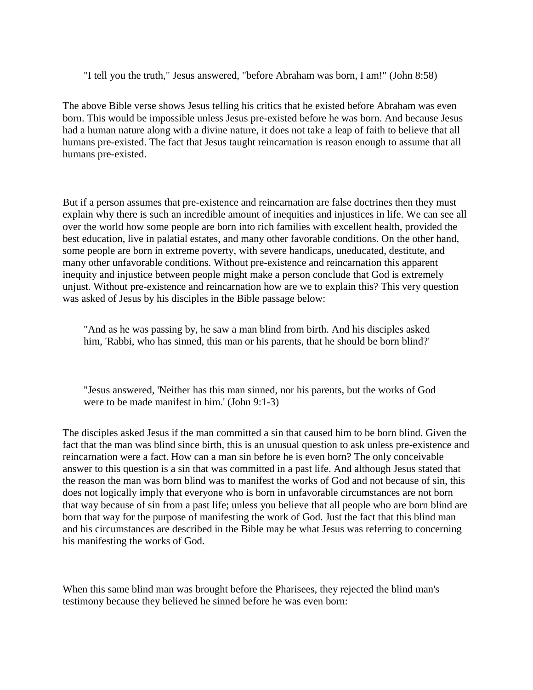"I tell you the truth," Jesus answered, "before Abraham was born, I am!" (John 8:58)

The above Bible verse shows Jesus telling his critics that he existed before Abraham was even born. This would be impossible unless Jesus pre-existed before he was born. And because Jesus had a human nature along with a divine nature, it does not take a leap of faith to believe that all humans pre-existed. The fact that Jesus taught reincarnation is reason enough to assume that all humans pre-existed.

But if a person assumes that pre-existence and reincarnation are false doctrines then they must explain why there is such an incredible amount of inequities and injustices in life. We can see all over the world how some people are born into rich families with excellent health, provided the best education, live in palatial estates, and many other favorable conditions. On the other hand, some people are born in extreme poverty, with severe handicaps, uneducated, destitute, and many other unfavorable conditions. Without pre-existence and reincarnation this apparent inequity and injustice between people might make a person conclude that God is extremely unjust. Without pre-existence and reincarnation how are we to explain this? This very question was asked of Jesus by his disciples in the Bible passage below:

"And as he was passing by, he saw a man blind from birth. And his disciples asked him, 'Rabbi, who has sinned, this man or his parents, that he should be born blind?'

"Jesus answered, 'Neither has this man sinned, nor his parents, but the works of God were to be made manifest in him.' (John 9:1-3)

The disciples asked Jesus if the man committed a sin that caused him to be born blind. Given the fact that the man was blind since birth, this is an unusual question to ask unless pre-existence and reincarnation were a fact. How can a man sin before he is even born? The only conceivable answer to this question is a sin that was committed in a past life. And although Jesus stated that the reason the man was born blind was to manifest the works of God and not because of sin, this does not logically imply that everyone who is born in unfavorable circumstances are not born that way because of sin from a past life; unless you believe that all people who are born blind are born that way for the purpose of manifesting the work of God. Just the fact that this blind man and his circumstances are described in the Bible may be what Jesus was referring to concerning his manifesting the works of God.

When this same blind man was brought before the Pharisees, they rejected the blind man's testimony because they believed he sinned before he was even born: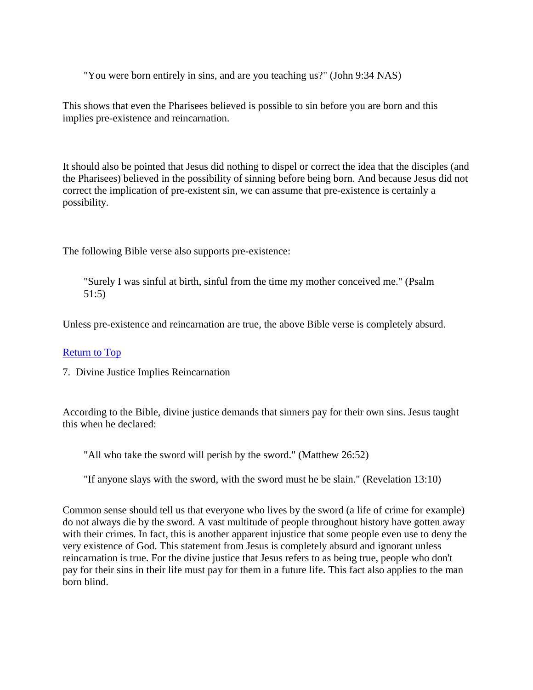"You were born entirely in sins, and are you teaching us?" (John 9:34 NAS)

This shows that even the Pharisees believed is possible to sin before you are born and this implies pre-existence and reincarnation.

It should also be pointed that Jesus did nothing to dispel or correct the idea that the disciples (and the Pharisees) believed in the possibility of sinning before being born. And because Jesus did not correct the implication of pre-existent sin, we can assume that pre-existence is certainly a possibility.

The following Bible verse also supports pre-existence:

"Surely I was sinful at birth, sinful from the time my mother conceived me." (Psalm 51:5)

Unless pre-existence and reincarnation are true, the above Bible verse is completely absurd.

# [Return to Top](http://www.near-death.com/experiences/rebirth01.html#top)

7. Divine Justice Implies Reincarnation

According to the Bible, divine justice demands that sinners pay for their own sins. Jesus taught this when he declared:

"All who take the sword will perish by the sword." (Matthew 26:52)

"If anyone slays with the sword, with the sword must he be slain." (Revelation 13:10)

Common sense should tell us that everyone who lives by the sword (a life of crime for example) do not always die by the sword. A vast multitude of people throughout history have gotten away with their crimes. In fact, this is another apparent injustice that some people even use to deny the very existence of God. This statement from Jesus is completely absurd and ignorant unless reincarnation is true. For the divine justice that Jesus refers to as being true, people who don't pay for their sins in their life must pay for them in a future life. This fact also applies to the man born blind.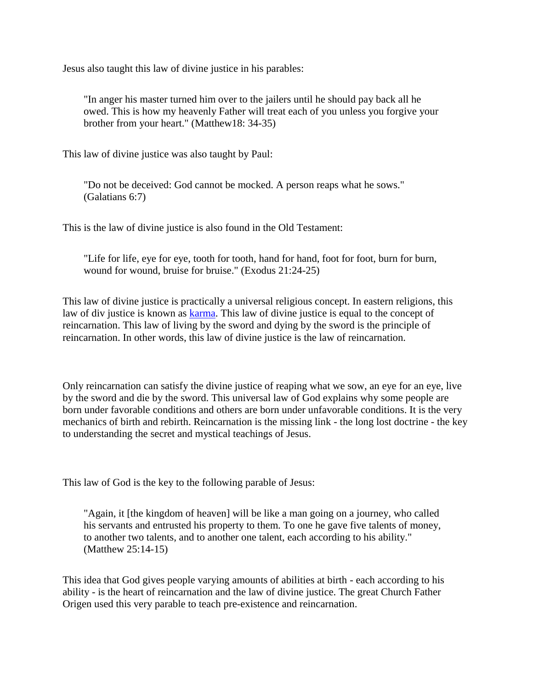Jesus also taught this law of divine justice in his parables:

"In anger his master turned him over to the jailers until he should pay back all he owed. This is how my heavenly Father will treat each of you unless you forgive your brother from your heart." (Matthew18: 34-35)

This law of divine justice was also taught by Paul:

"Do not be deceived: God cannot be mocked. A person reaps what he sows." (Galatians 6:7)

This is the law of divine justice is also found in the Old Testament:

"Life for life, eye for eye, tooth for tooth, hand for hand, foot for foot, burn for burn, wound for wound, bruise for bruise." (Exodus 21:24-25)

This law of divine justice is practically a universal religious concept. In eastern religions, this law of div justice is known as [karma.](http://buddhism.about.com/) This law of divine justice is equal to the concept of reincarnation. This law of living by the sword and dying by the sword is the principle of reincarnation. In other words, this law of divine justice is the law of reincarnation.

Only reincarnation can satisfy the divine justice of reaping what we sow, an eye for an eye, live by the sword and die by the sword. This universal law of God explains why some people are born under favorable conditions and others are born under unfavorable conditions. It is the very mechanics of birth and rebirth. Reincarnation is the missing link - the long lost doctrine - the key to understanding the secret and mystical teachings of Jesus.

This law of God is the key to the following parable of Jesus:

"Again, it [the kingdom of heaven] will be like a man going on a journey, who called his servants and entrusted his property to them. To one he gave five talents of money, to another two talents, and to another one talent, each according to his ability." (Matthew 25:14-15)

This idea that God gives people varying amounts of abilities at birth - each according to his ability - is the heart of reincarnation and the law of divine justice. The great Church Father Origen used this very parable to teach pre-existence and reincarnation.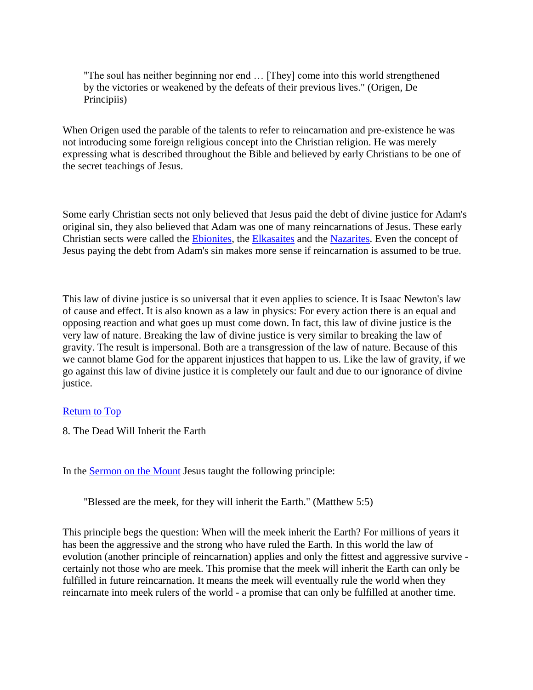"The soul has neither beginning nor end … [They] come into this world strengthened by the victories or weakened by the defeats of their previous lives." (Origen, De Principiis)

When Origen used the parable of the talents to refer to reincarnation and pre-existence he was not introducing some foreign religious concept into the Christian religion. He was merely expressing what is described throughout the Bible and believed by early Christians to be one of the secret teachings of Jesus.

Some early Christian sects not only believed that Jesus paid the debt of divine justice for Adam's original sin, they also believed that Adam was one of many reincarnations of Jesus. These early Christian sects were called the [Ebionites,](http://www.encyclopedia.com/html/E/Ebionite.asp) the [Elkasaites](http://hometown.aol.com/didymus5/ch11.html) and the [Nazarites.](http://www.pbs.org/wgbh/pages/frontline/shows/religion/portrait/essenes.html) Even the concept of Jesus paying the debt from Adam's sin makes more sense if reincarnation is assumed to be true.

This law of divine justice is so universal that it even applies to science. It is Isaac Newton's law of cause and effect. It is also known as a law in physics: For every action there is an equal and opposing reaction and what goes up must come down. In fact, this law of divine justice is the very law of nature. Breaking the law of divine justice is very similar to breaking the law of gravity. The result is impersonal. Both are a transgression of the law of nature. Because of this we cannot blame God for the apparent injustices that happen to us. Like the law of gravity, if we go against this law of divine justice it is completely our fault and due to our ignorance of divine justice.

# [Return to Top](http://www.near-death.com/experiences/rebirth01.html#top)

8. The Dead Will Inherit the Earth

In the [Sermon on the Mount](http://www.biblepath.com/beatitudes.html) Jesus taught the following principle:

"Blessed are the meek, for they will inherit the Earth." (Matthew 5:5)

This principle begs the question: When will the meek inherit the Earth? For millions of years it has been the aggressive and the strong who have ruled the Earth. In this world the law of evolution (another principle of reincarnation) applies and only the fittest and aggressive survive certainly not those who are meek. This promise that the meek will inherit the Earth can only be fulfilled in future reincarnation. It means the meek will eventually rule the world when they reincarnate into meek rulers of the world - a promise that can only be fulfilled at another time.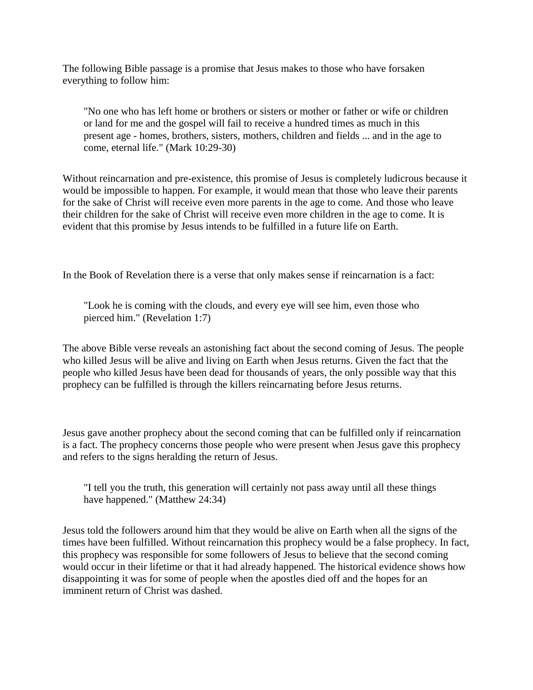The following Bible passage is a promise that Jesus makes to those who have forsaken everything to follow him:

"No one who has left home or brothers or sisters or mother or father or wife or children or land for me and the gospel will fail to receive a hundred times as much in this present age - homes, brothers, sisters, mothers, children and fields ... and in the age to come, eternal life." (Mark 10:29-30)

Without reincarnation and pre-existence, this promise of Jesus is completely ludicrous because it would be impossible to happen. For example, it would mean that those who leave their parents for the sake of Christ will receive even more parents in the age to come. And those who leave their children for the sake of Christ will receive even more children in the age to come. It is evident that this promise by Jesus intends to be fulfilled in a future life on Earth.

In the Book of Revelation there is a verse that only makes sense if reincarnation is a fact:

"Look he is coming with the clouds, and every eye will see him, even those who pierced him." (Revelation 1:7)

The above Bible verse reveals an astonishing fact about the second coming of Jesus. The people who killed Jesus will be alive and living on Earth when Jesus returns. Given the fact that the people who killed Jesus have been dead for thousands of years, the only possible way that this prophecy can be fulfilled is through the killers reincarnating before Jesus returns.

Jesus gave another prophecy about the second coming that can be fulfilled only if reincarnation is a fact. The prophecy concerns those people who were present when Jesus gave this prophecy and refers to the signs heralding the return of Jesus.

"I tell you the truth, this generation will certainly not pass away until all these things have happened." (Matthew 24:34)

Jesus told the followers around him that they would be alive on Earth when all the signs of the times have been fulfilled. Without reincarnation this prophecy would be a false prophecy. In fact, this prophecy was responsible for some followers of Jesus to believe that the second coming would occur in their lifetime or that it had already happened. The historical evidence shows how disappointing it was for some of people when the apostles died off and the hopes for an imminent return of Christ was dashed.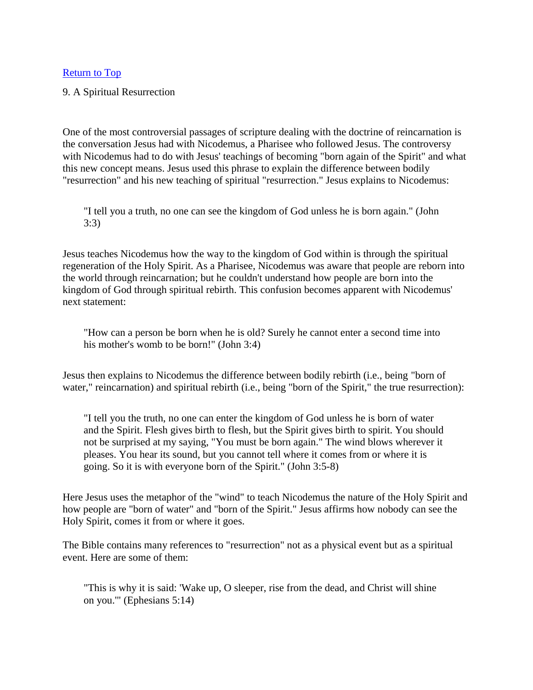#### [Return to Top](http://www.near-death.com/experiences/rebirth01.html#top)

#### 9. A Spiritual Resurrection

One of the most controversial passages of scripture dealing with the doctrine of reincarnation is the conversation Jesus had with Nicodemus, a Pharisee who followed Jesus. The controversy with Nicodemus had to do with Jesus' teachings of becoming "born again of the Spirit" and what this new concept means. Jesus used this phrase to explain the difference between bodily "resurrection" and his new teaching of spiritual "resurrection." Jesus explains to Nicodemus:

"I tell you a truth, no one can see the kingdom of God unless he is born again." (John 3:3)

Jesus teaches Nicodemus how the way to the kingdom of God within is through the spiritual regeneration of the Holy Spirit. As a Pharisee, Nicodemus was aware that people are reborn into the world through reincarnation; but he couldn't understand how people are born into the kingdom of God through spiritual rebirth. This confusion becomes apparent with Nicodemus' next statement:

"How can a person be born when he is old? Surely he cannot enter a second time into his mother's womb to be born!" (John 3:4)

Jesus then explains to Nicodemus the difference between bodily rebirth (i.e., being "born of water," reincarnation) and spiritual rebirth (i.e., being "born of the Spirit," the true resurrection):

"I tell you the truth, no one can enter the kingdom of God unless he is born of water and the Spirit. Flesh gives birth to flesh, but the Spirit gives birth to spirit. You should not be surprised at my saying, "You must be born again." The wind blows wherever it pleases. You hear its sound, but you cannot tell where it comes from or where it is going. So it is with everyone born of the Spirit." (John 3:5-8)

Here Jesus uses the metaphor of the "wind" to teach Nicodemus the nature of the Holy Spirit and how people are "born of water" and "born of the Spirit." Jesus affirms how nobody can see the Holy Spirit, comes it from or where it goes.

The Bible contains many references to "resurrection" not as a physical event but as a spiritual event. Here are some of them:

"This is why it is said: 'Wake up, O sleeper, rise from the dead, and Christ will shine on you.'" (Ephesians 5:14)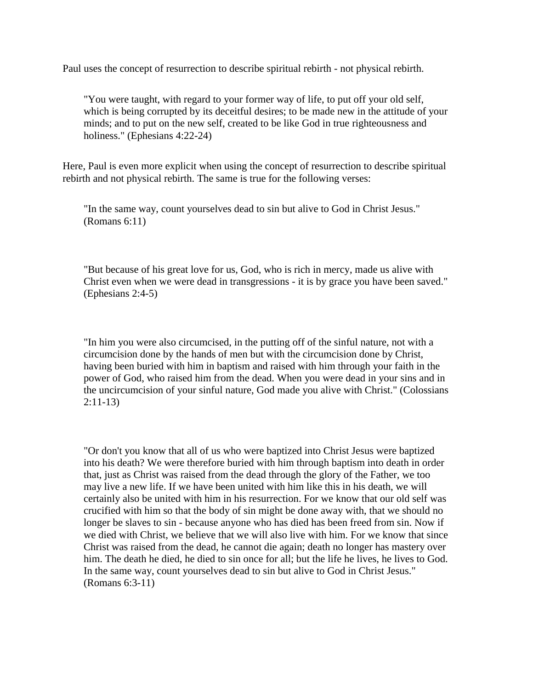Paul uses the concept of resurrection to describe spiritual rebirth - not physical rebirth.

"You were taught, with regard to your former way of life, to put off your old self, which is being corrupted by its deceitful desires; to be made new in the attitude of your minds; and to put on the new self, created to be like God in true righteousness and holiness." (Ephesians 4:22-24)

Here, Paul is even more explicit when using the concept of resurrection to describe spiritual rebirth and not physical rebirth. The same is true for the following verses:

"In the same way, count yourselves dead to sin but alive to God in Christ Jesus." (Romans 6:11)

"But because of his great love for us, God, who is rich in mercy, made us alive with Christ even when we were dead in transgressions - it is by grace you have been saved." (Ephesians 2:4-5)

"In him you were also circumcised, in the putting off of the sinful nature, not with a circumcision done by the hands of men but with the circumcision done by Christ, having been buried with him in baptism and raised with him through your faith in the power of God, who raised him from the dead. When you were dead in your sins and in the uncircumcision of your sinful nature, God made you alive with Christ." (Colossians 2:11-13)

"Or don't you know that all of us who were baptized into Christ Jesus were baptized into his death? We were therefore buried with him through baptism into death in order that, just as Christ was raised from the dead through the glory of the Father, we too may live a new life. If we have been united with him like this in his death, we will certainly also be united with him in his resurrection. For we know that our old self was crucified with him so that the body of sin might be done away with, that we should no longer be slaves to sin - because anyone who has died has been freed from sin. Now if we died with Christ, we believe that we will also live with him. For we know that since Christ was raised from the dead, he cannot die again; death no longer has mastery over him. The death he died, he died to sin once for all; but the life he lives, he lives to God. In the same way, count yourselves dead to sin but alive to God in Christ Jesus." (Romans 6:3-11)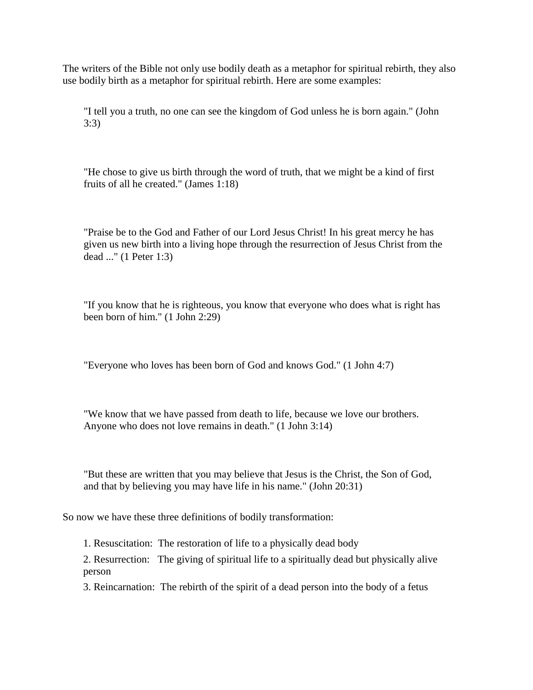The writers of the Bible not only use bodily death as a metaphor for spiritual rebirth, they also use bodily birth as a metaphor for spiritual rebirth. Here are some examples:

"I tell you a truth, no one can see the kingdom of God unless he is born again." (John 3:3)

"He chose to give us birth through the word of truth, that we might be a kind of first fruits of all he created." (James 1:18)

"Praise be to the God and Father of our Lord Jesus Christ! In his great mercy he has given us new birth into a living hope through the resurrection of Jesus Christ from the dead ..." (1 Peter 1:3)

"If you know that he is righteous, you know that everyone who does what is right has been born of him." (1 John 2:29)

"Everyone who loves has been born of God and knows God." (1 John 4:7)

"We know that we have passed from death to life, because we love our brothers. Anyone who does not love remains in death." (1 John 3:14)

"But these are written that you may believe that Jesus is the Christ, the Son of God, and that by believing you may have life in his name." (John 20:31)

So now we have these three definitions of bodily transformation:

1. Resuscitation: The restoration of life to a physically dead body

2. Resurrection: The giving of spiritual life to a spiritually dead but physically alive person

3. Reincarnation: The rebirth of the spirit of a dead person into the body of a fetus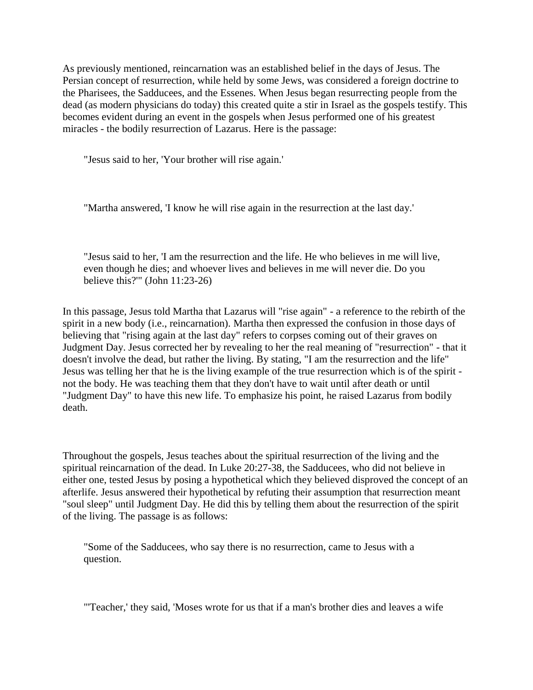As previously mentioned, reincarnation was an established belief in the days of Jesus. The Persian concept of resurrection, while held by some Jews, was considered a foreign doctrine to the Pharisees, the Sadducees, and the Essenes. When Jesus began resurrecting people from the dead (as modern physicians do today) this created quite a stir in Israel as the gospels testify. This becomes evident during an event in the gospels when Jesus performed one of his greatest miracles - the bodily resurrection of Lazarus. Here is the passage:

"Jesus said to her, 'Your brother will rise again.'

"Martha answered, 'I know he will rise again in the resurrection at the last day.'

"Jesus said to her, 'I am the resurrection and the life. He who believes in me will live, even though he dies; and whoever lives and believes in me will never die. Do you believe this?'" (John 11:23-26)

In this passage, Jesus told Martha that Lazarus will "rise again" - a reference to the rebirth of the spirit in a new body (i.e., reincarnation). Martha then expressed the confusion in those days of believing that "rising again at the last day" refers to corpses coming out of their graves on Judgment Day. Jesus corrected her by revealing to her the real meaning of "resurrection" - that it doesn't involve the dead, but rather the living. By stating, "I am the resurrection and the life" Jesus was telling her that he is the living example of the true resurrection which is of the spirit not the body. He was teaching them that they don't have to wait until after death or until "Judgment Day" to have this new life. To emphasize his point, he raised Lazarus from bodily death.

Throughout the gospels, Jesus teaches about the spiritual resurrection of the living and the spiritual reincarnation of the dead. In Luke 20:27-38, the Sadducees, who did not believe in either one, tested Jesus by posing a hypothetical which they believed disproved the concept of an afterlife. Jesus answered their hypothetical by refuting their assumption that resurrection meant "soul sleep" until Judgment Day. He did this by telling them about the resurrection of the spirit of the living. The passage is as follows:

"Some of the Sadducees, who say there is no resurrection, came to Jesus with a question.

"'Teacher,' they said, 'Moses wrote for us that if a man's brother dies and leaves a wife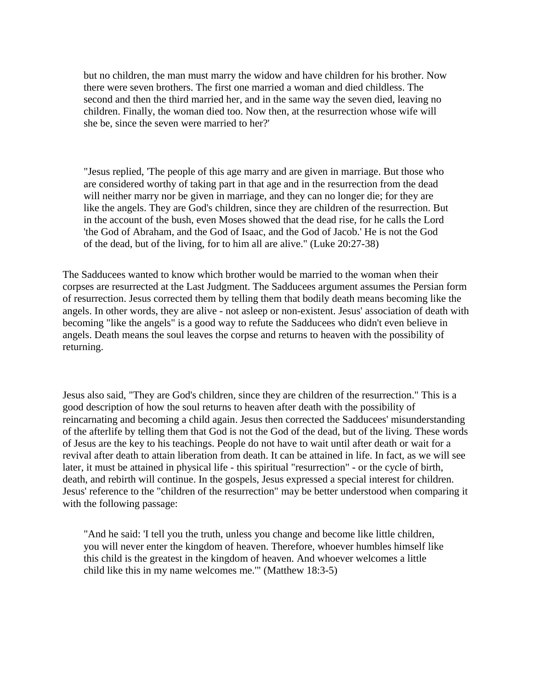but no children, the man must marry the widow and have children for his brother. Now there were seven brothers. The first one married a woman and died childless. The second and then the third married her, and in the same way the seven died, leaving no children. Finally, the woman died too. Now then, at the resurrection whose wife will she be, since the seven were married to her?'

"Jesus replied, 'The people of this age marry and are given in marriage. But those who are considered worthy of taking part in that age and in the resurrection from the dead will neither marry nor be given in marriage, and they can no longer die; for they are like the angels. They are God's children, since they are children of the resurrection. But in the account of the bush, even Moses showed that the dead rise, for he calls the Lord 'the God of Abraham, and the God of Isaac, and the God of Jacob.' He is not the God of the dead, but of the living, for to him all are alive." (Luke 20:27-38)

The Sadducees wanted to know which brother would be married to the woman when their corpses are resurrected at the Last Judgment. The Sadducees argument assumes the Persian form of resurrection. Jesus corrected them by telling them that bodily death means becoming like the angels. In other words, they are alive - not asleep or non-existent. Jesus' association of death with becoming "like the angels" is a good way to refute the Sadducees who didn't even believe in angels. Death means the soul leaves the corpse and returns to heaven with the possibility of returning.

Jesus also said, "They are God's children, since they are children of the resurrection." This is a good description of how the soul returns to heaven after death with the possibility of reincarnating and becoming a child again. Jesus then corrected the Sadducees' misunderstanding of the afterlife by telling them that God is not the God of the dead, but of the living. These words of Jesus are the key to his teachings. People do not have to wait until after death or wait for a revival after death to attain liberation from death. It can be attained in life. In fact, as we will see later, it must be attained in physical life - this spiritual "resurrection" - or the cycle of birth, death, and rebirth will continue. In the gospels, Jesus expressed a special interest for children. Jesus' reference to the "children of the resurrection" may be better understood when comparing it with the following passage:

"And he said: 'I tell you the truth, unless you change and become like little children, you will never enter the kingdom of heaven. Therefore, whoever humbles himself like this child is the greatest in the kingdom of heaven. And whoever welcomes a little child like this in my name welcomes me.'" (Matthew 18:3-5)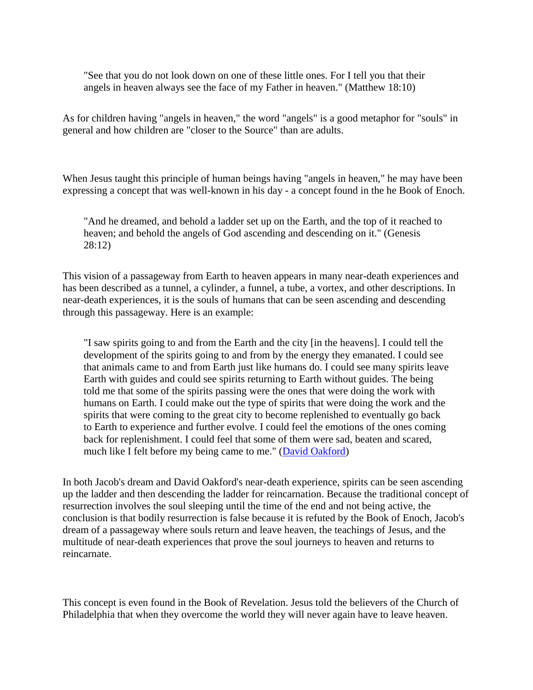"See that you do not look down on one of these little ones. For I tell you that their angels in heaven always see the face of my Father in heaven." (Matthew 18:10)

As for children having "angels in heaven," the word "angels" is a good metaphor for "souls" in general and how children are "closer to the Source" than are adults.

When Jesus taught this principle of human beings having "angels in heaven," he may have been expressing a concept that was well-known in his day - a concept found in the he Book of Enoch.

"And he dreamed, and behold a ladder set up on the Earth, and the top of it reached to heaven; and behold the angels of God ascending and descending on it." (Genesis 28:12)

This vision of a passageway from Earth to heaven appears in many near-death experiences and has been described as a tunnel, a cylinder, a funnel, a tube, a vortex, and other descriptions. In near-death experiences, it is the souls of humans that can be seen ascending and descending through this passageway. Here is an example:

"I saw spirits going to and from the Earth and the city [in the heavens]. I could tell the development of the spirits going to and from by the energy they emanated. I could see that animals came to and from Earth just like humans do. I could see many spirits leave Earth with guides and could see spirits returning to Earth without guides. The being told me that some of the spirits passing were the ones that were doing the work with humans on Earth. I could make out the type of spirits that were doing the work and the spirits that were coming to the great city to become replenished to eventually go back to Earth to experience and further evolve. I could feel the emotions of the ones coming back for replenishment. I could feel that some of them were sad, beaten and scared, much like I felt before my being came to me." [\(David Oakford\)](http://www.near-death.com/oakford.html)

In both Jacob's dream and David Oakford's near-death experience, spirits can be seen ascending up the ladder and then descending the ladder for reincarnation. Because the traditional concept of resurrection involves the soul sleeping until the time of the end and not being active, the conclusion is that bodily resurrection is false because it is refuted by the Book of Enoch, Jacob's dream of a passageway where souls return and leave heaven, the teachings of Jesus, and the multitude of near-death experiences that prove the soul journeys to heaven and returns to reincarnate.

This concept is even found in the Book of Revelation. Jesus told the believers of the Church of Philadelphia that when they overcome the world they will never again have to leave heaven.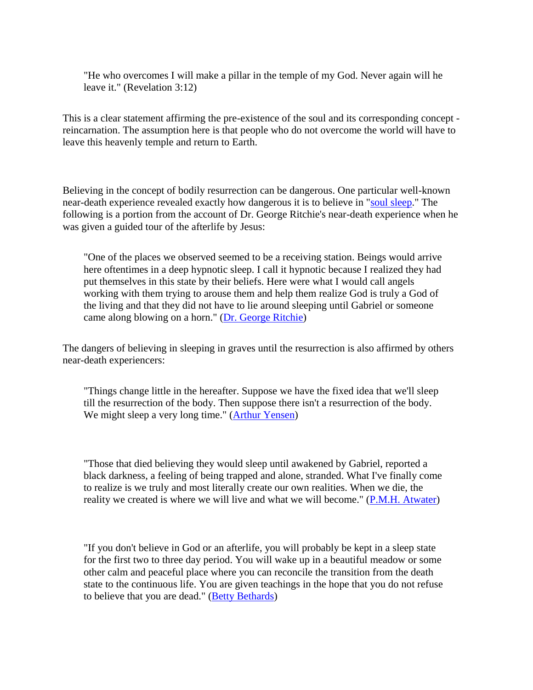"He who overcomes I will make a pillar in the temple of my God. Never again will he leave it." (Revelation 3:12)

This is a clear statement affirming the pre-existence of the soul and its corresponding concept reincarnation. The assumption here is that people who do not overcome the world will have to leave this heavenly temple and return to Earth.

Believing in the concept of bodily resurrection can be dangerous. One particular well-known near-death experience revealed exactly how dangerous it is to believe in ["soul sleep.](http://www.newadvent.org/cathen/12792a.htm)" The following is a portion from the account of Dr. George Ritchie's near-death experience when he was given a guided tour of the afterlife by Jesus:

"One of the places we observed seemed to be a receiving station. Beings would arrive here oftentimes in a deep hypnotic sleep. I call it hypnotic because I realized they had put themselves in this state by their beliefs. Here were what I would call angels working with them trying to arouse them and help them realize God is truly a God of the living and that they did not have to lie around sleeping until Gabriel or someone came along blowing on a horn." [\(Dr. George Ritchie\)](http://www.near-death.com/ritchie.html)

The dangers of believing in sleeping in graves until the resurrection is also affirmed by others near-death experiencers:

"Things change little in the hereafter. Suppose we have the fixed idea that we'll sleep till the resurrection of the body. Then suppose there isn't a resurrection of the body. We might sleep a very long time." [\(Arthur Yensen\)](http://www.near-death.com/experiences/reincarnation06.html)

"Those that died believing they would sleep until awakened by Gabriel, reported a black darkness, a feeling of being trapped and alone, stranded. What I've finally come to realize is we truly and most literally create our own realities. When we die, the reality we created is where we will live and what we will become." [\(P.M.H. Atwater\)](http://www.near-death.com/experiences/experts05.html)

"If you don't believe in God or an afterlife, you will probably be kept in a sleep state for the first two to three day period. You will wake up in a beautiful meadow or some other calm and peaceful place where you can reconcile the transition from the death state to the continuous life. You are given teachings in the hope that you do not refuse to believe that you are dead." [\(Betty Bethards\)](http://www.near-death.com/experiences/paranormal02.html)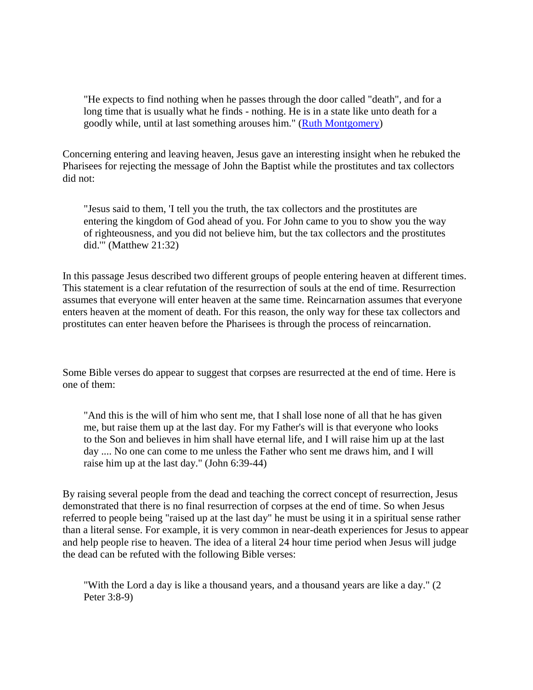"He expects to find nothing when he passes through the door called "death", and for a long time that is usually what he finds - nothing. He is in a state like unto death for a goodly while, until at last something arouses him." [\(Ruth Montgomery\)](http://www.near-death.com/experiences/paranormal04.html)

Concerning entering and leaving heaven, Jesus gave an interesting insight when he rebuked the Pharisees for rejecting the message of John the Baptist while the prostitutes and tax collectors did not:

"Jesus said to them, 'I tell you the truth, the tax collectors and the prostitutes are entering the kingdom of God ahead of you. For John came to you to show you the way of righteousness, and you did not believe him, but the tax collectors and the prostitutes did.'" (Matthew 21:32)

In this passage Jesus described two different groups of people entering heaven at different times. This statement is a clear refutation of the resurrection of souls at the end of time. Resurrection assumes that everyone will enter heaven at the same time. Reincarnation assumes that everyone enters heaven at the moment of death. For this reason, the only way for these tax collectors and prostitutes can enter heaven before the Pharisees is through the process of reincarnation.

Some Bible verses do appear to suggest that corpses are resurrected at the end of time. Here is one of them:

"And this is the will of him who sent me, that I shall lose none of all that he has given me, but raise them up at the last day. For my Father's will is that everyone who looks to the Son and believes in him shall have eternal life, and I will raise him up at the last day .... No one can come to me unless the Father who sent me draws him, and I will raise him up at the last day." (John 6:39-44)

By raising several people from the dead and teaching the correct concept of resurrection, Jesus demonstrated that there is no final resurrection of corpses at the end of time. So when Jesus referred to people being "raised up at the last day" he must be using it in a spiritual sense rather than a literal sense. For example, it is very common in near-death experiences for Jesus to appear and help people rise to heaven. The idea of a literal 24 hour time period when Jesus will judge the dead can be refuted with the following Bible verses:

"With the Lord a day is like a thousand years, and a thousand years are like a day." (2 Peter 3:8-9)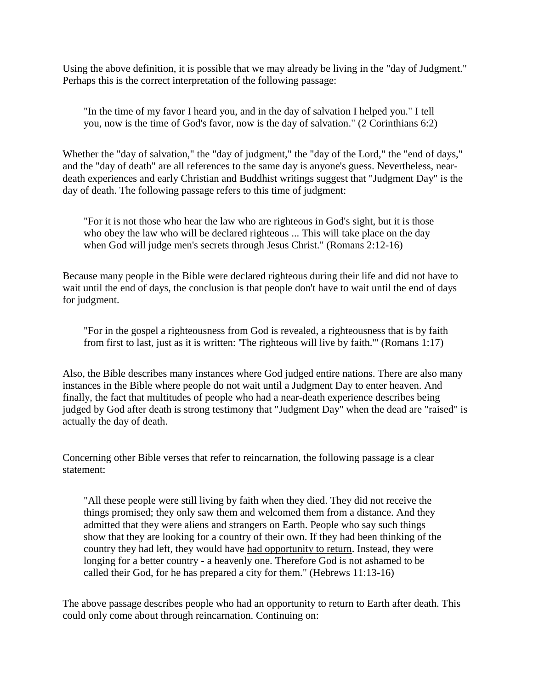Using the above definition, it is possible that we may already be living in the "day of Judgment." Perhaps this is the correct interpretation of the following passage:

"In the time of my favor I heard you, and in the day of salvation I helped you." I tell you, now is the time of God's favor, now is the day of salvation." (2 Corinthians 6:2)

Whether the "day of salvation," the "day of judgment," the "day of the Lord," the "end of days," and the "day of death" are all references to the same day is anyone's guess. Nevertheless, neardeath experiences and early Christian and Buddhist writings suggest that "Judgment Day" is the day of death. The following passage refers to this time of judgment:

"For it is not those who hear the law who are righteous in God's sight, but it is those who obey the law who will be declared righteous ... This will take place on the day when God will judge men's secrets through Jesus Christ." (Romans 2:12-16)

Because many people in the Bible were declared righteous during their life and did not have to wait until the end of days, the conclusion is that people don't have to wait until the end of days for judgment.

"For in the gospel a righteousness from God is revealed, a righteousness that is by faith from first to last, just as it is written: 'The righteous will live by faith.'" (Romans 1:17)

Also, the Bible describes many instances where God judged entire nations. There are also many instances in the Bible where people do not wait until a Judgment Day to enter heaven. And finally, the fact that multitudes of people who had a near-death experience describes being judged by God after death is strong testimony that "Judgment Day" when the dead are "raised" is actually the day of death.

Concerning other Bible verses that refer to reincarnation, the following passage is a clear statement:

"All these people were still living by faith when they died. They did not receive the things promised; they only saw them and welcomed them from a distance. And they admitted that they were aliens and strangers on Earth. People who say such things show that they are looking for a country of their own. If they had been thinking of the country they had left, they would have had opportunity to return. Instead, they were longing for a better country - a heavenly one. Therefore God is not ashamed to be called their God, for he has prepared a city for them." (Hebrews 11:13-16)

The above passage describes people who had an opportunity to return to Earth after death. This could only come about through reincarnation. Continuing on: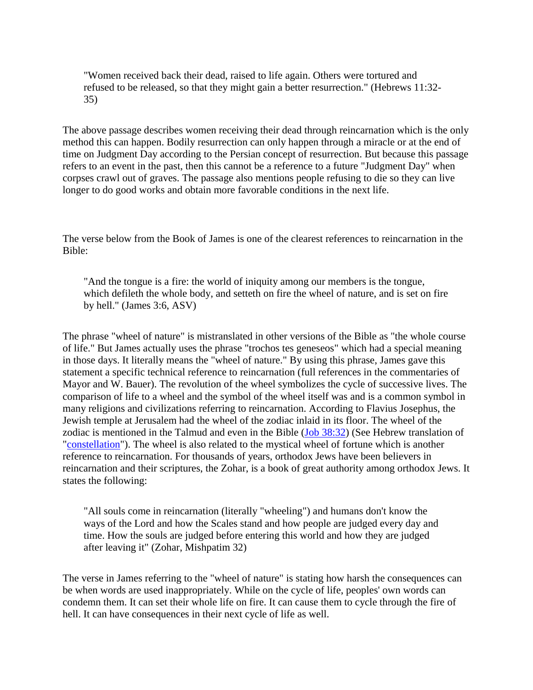"Women received back their dead, raised to life again. Others were tortured and refused to be released, so that they might gain a better resurrection." (Hebrews 11:32- 35)

The above passage describes women receiving their dead through reincarnation which is the only method this can happen. Bodily resurrection can only happen through a miracle or at the end of time on Judgment Day according to the Persian concept of resurrection. But because this passage refers to an event in the past, then this cannot be a reference to a future "Judgment Day" when corpses crawl out of graves. The passage also mentions people refusing to die so they can live longer to do good works and obtain more favorable conditions in the next life.

The verse below from the Book of James is one of the clearest references to reincarnation in the Bible:

"And the tongue is a fire: the world of iniquity among our members is the tongue, which defileth the whole body, and setteth on fire the wheel of nature, and is set on fire by hell." (James 3:6, ASV)

The phrase "wheel of nature" is mistranslated in other versions of the Bible as "the whole course of life." But James actually uses the phrase "trochos tes geneseos" which had a special meaning in those days. It literally means the "wheel of nature." By using this phrase, James gave this statement a specific technical reference to reincarnation (full references in the commentaries of Mayor and W. Bauer). The revolution of the wheel symbolizes the cycle of successive lives. The comparison of life to a wheel and the symbol of the wheel itself was and is a common symbol in many religions and civilizations referring to reincarnation. According to Flavius Josephus, the Jewish temple at Jerusalem had the wheel of the zodiac inlaid in its floor. The wheel of the zodiac is mentioned in the Talmud and even in the Bible [\(Job 38:32\)](http://www.biblegateway.com/cgi-bin/bible?passage=+Job+38%3A32&x=20&y=7&NIV_version=yes&language=english) (See Hebrew translation of ["constellation"](http://www.mazzaroth.com/Introduction/MazzarothDefined.htm)). The wheel is also related to the mystical wheel of fortune which is another reference to reincarnation. For thousands of years, orthodox Jews have been believers in reincarnation and their scriptures, the Zohar, is a book of great authority among orthodox Jews. It states the following:

"All souls come in reincarnation (literally "wheeling") and humans don't know the ways of the Lord and how the Scales stand and how people are judged every day and time. How the souls are judged before entering this world and how they are judged after leaving it" (Zohar, Mishpatim 32)

The verse in James referring to the "wheel of nature" is stating how harsh the consequences can be when words are used inappropriately. While on the cycle of life, peoples' own words can condemn them. It can set their whole life on fire. It can cause them to cycle through the fire of hell. It can have consequences in their next cycle of life as well.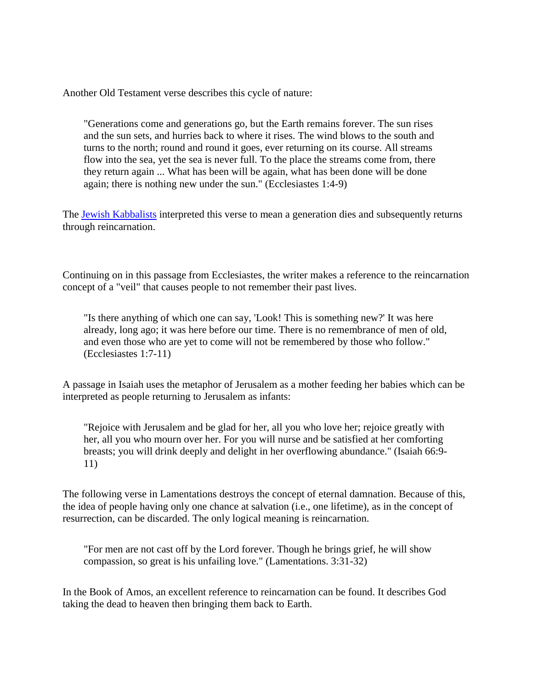Another Old Testament verse describes this cycle of nature:

"Generations come and generations go, but the Earth remains forever. The sun rises and the sun sets, and hurries back to where it rises. The wind blows to the south and turns to the north; round and round it goes, ever returning on its course. All streams flow into the sea, yet the sea is never full. To the place the streams come from, there they return again ... What has been will be again, what has been done will be done again; there is nothing new under the sun." (Ecclesiastes 1:4-9)

The **Jewish Kabbalists** interpreted this verse to mean a generation dies and subsequently returns through reincarnation.

Continuing on in this passage from Ecclesiastes, the writer makes a reference to the reincarnation concept of a "veil" that causes people to not remember their past lives.

"Is there anything of which one can say, 'Look! This is something new?' It was here already, long ago; it was here before our time. There is no remembrance of men of old, and even those who are yet to come will not be remembered by those who follow." (Ecclesiastes 1:7-11)

A passage in Isaiah uses the metaphor of Jerusalem as a mother feeding her babies which can be interpreted as people returning to Jerusalem as infants:

"Rejoice with Jerusalem and be glad for her, all you who love her; rejoice greatly with her, all you who mourn over her. For you will nurse and be satisfied at her comforting breasts; you will drink deeply and delight in her overflowing abundance." (Isaiah 66:9- 11)

The following verse in Lamentations destroys the concept of eternal damnation. Because of this, the idea of people having only one chance at salvation (i.e., one lifetime), as in the concept of resurrection, can be discarded. The only logical meaning is reincarnation.

"For men are not cast off by the Lord forever. Though he brings grief, he will show compassion, so great is his unfailing love." (Lamentations. 3:31-32)

In the Book of Amos, an excellent reference to reincarnation can be found. It describes God taking the dead to heaven then bringing them back to Earth.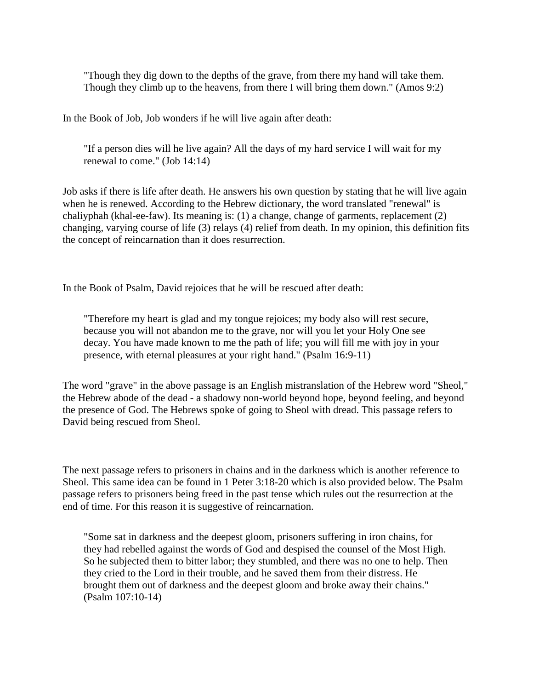"Though they dig down to the depths of the grave, from there my hand will take them. Though they climb up to the heavens, from there I will bring them down." (Amos 9:2)

In the Book of Job, Job wonders if he will live again after death:

"If a person dies will he live again? All the days of my hard service I will wait for my renewal to come." (Job 14:14)

Job asks if there is life after death. He answers his own question by stating that he will live again when he is renewed. According to the Hebrew dictionary, the word translated "renewal" is chaliyphah (khal-ee-faw). Its meaning is: (1) a change, change of garments, replacement (2) changing, varying course of life (3) relays (4) relief from death. In my opinion, this definition fits the concept of reincarnation than it does resurrection.

In the Book of Psalm, David rejoices that he will be rescued after death:

"Therefore my heart is glad and my tongue rejoices; my body also will rest secure, because you will not abandon me to the grave, nor will you let your Holy One see decay. You have made known to me the path of life; you will fill me with joy in your presence, with eternal pleasures at your right hand." (Psalm 16:9-11)

The word "grave" in the above passage is an English mistranslation of the Hebrew word "Sheol," the Hebrew abode of the dead - a shadowy non-world beyond hope, beyond feeling, and beyond the presence of God. The Hebrews spoke of going to Sheol with dread. This passage refers to David being rescued from Sheol.

The next passage refers to prisoners in chains and in the darkness which is another reference to Sheol. This same idea can be found in 1 Peter 3:18-20 which is also provided below. The Psalm passage refers to prisoners being freed in the past tense which rules out the resurrection at the end of time. For this reason it is suggestive of reincarnation.

"Some sat in darkness and the deepest gloom, prisoners suffering in iron chains, for they had rebelled against the words of God and despised the counsel of the Most High. So he subjected them to bitter labor; they stumbled, and there was no one to help. Then they cried to the Lord in their trouble, and he saved them from their distress. He brought them out of darkness and the deepest gloom and broke away their chains." (Psalm 107:10-14)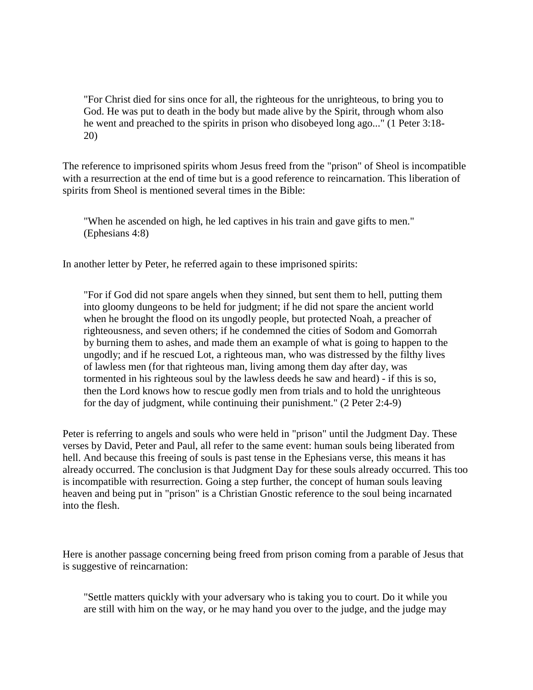"For Christ died for sins once for all, the righteous for the unrighteous, to bring you to God. He was put to death in the body but made alive by the Spirit, through whom also he went and preached to the spirits in prison who disobeyed long ago..." (1 Peter 3:18- 20)

The reference to imprisoned spirits whom Jesus freed from the "prison" of Sheol is incompatible with a resurrection at the end of time but is a good reference to reincarnation. This liberation of spirits from Sheol is mentioned several times in the Bible:

"When he ascended on high, he led captives in his train and gave gifts to men." (Ephesians 4:8)

In another letter by Peter, he referred again to these imprisoned spirits:

"For if God did not spare angels when they sinned, but sent them to hell, putting them into gloomy dungeons to be held for judgment; if he did not spare the ancient world when he brought the flood on its ungodly people, but protected Noah, a preacher of righteousness, and seven others; if he condemned the cities of Sodom and Gomorrah by burning them to ashes, and made them an example of what is going to happen to the ungodly; and if he rescued Lot, a righteous man, who was distressed by the filthy lives of lawless men (for that righteous man, living among them day after day, was tormented in his righteous soul by the lawless deeds he saw and heard) - if this is so, then the Lord knows how to rescue godly men from trials and to hold the unrighteous for the day of judgment, while continuing their punishment." (2 Peter 2:4-9)

Peter is referring to angels and souls who were held in "prison" until the Judgment Day. These verses by David, Peter and Paul, all refer to the same event: human souls being liberated from hell. And because this freeing of souls is past tense in the Ephesians verse, this means it has already occurred. The conclusion is that Judgment Day for these souls already occurred. This too is incompatible with resurrection. Going a step further, the concept of human souls leaving heaven and being put in "prison" is a Christian Gnostic reference to the soul being incarnated into the flesh.

Here is another passage concerning being freed from prison coming from a parable of Jesus that is suggestive of reincarnation:

"Settle matters quickly with your adversary who is taking you to court. Do it while you are still with him on the way, or he may hand you over to the judge, and the judge may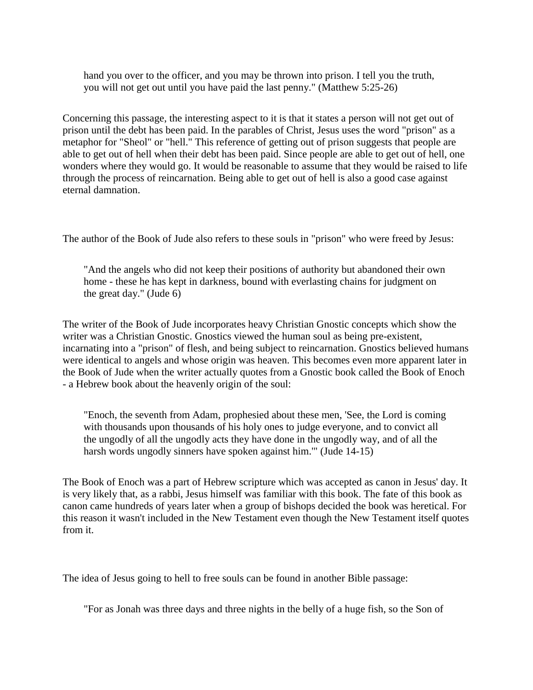hand you over to the officer, and you may be thrown into prison. I tell you the truth, you will not get out until you have paid the last penny." (Matthew 5:25-26)

Concerning this passage, the interesting aspect to it is that it states a person will not get out of prison until the debt has been paid. In the parables of Christ, Jesus uses the word "prison" as a metaphor for "Sheol" or "hell." This reference of getting out of prison suggests that people are able to get out of hell when their debt has been paid. Since people are able to get out of hell, one wonders where they would go. It would be reasonable to assume that they would be raised to life through the process of reincarnation. Being able to get out of hell is also a good case against eternal damnation.

The author of the Book of Jude also refers to these souls in "prison" who were freed by Jesus:

"And the angels who did not keep their positions of authority but abandoned their own home - these he has kept in darkness, bound with everlasting chains for judgment on the great day." (Jude 6)

The writer of the Book of Jude incorporates heavy Christian Gnostic concepts which show the writer was a Christian Gnostic. Gnostics viewed the human soul as being pre-existent, incarnating into a "prison" of flesh, and being subject to reincarnation. Gnostics believed humans were identical to angels and whose origin was heaven. This becomes even more apparent later in the Book of Jude when the writer actually quotes from a Gnostic book called the Book of Enoch - a Hebrew book about the heavenly origin of the soul:

"Enoch, the seventh from Adam, prophesied about these men, 'See, the Lord is coming with thousands upon thousands of his holy ones to judge everyone, and to convict all the ungodly of all the ungodly acts they have done in the ungodly way, and of all the harsh words ungodly sinners have spoken against him.'" (Jude 14-15)

The Book of Enoch was a part of Hebrew scripture which was accepted as canon in Jesus' day. It is very likely that, as a rabbi, Jesus himself was familiar with this book. The fate of this book as canon came hundreds of years later when a group of bishops decided the book was heretical. For this reason it wasn't included in the New Testament even though the New Testament itself quotes from it.

The idea of Jesus going to hell to free souls can be found in another Bible passage:

"For as Jonah was three days and three nights in the belly of a huge fish, so the Son of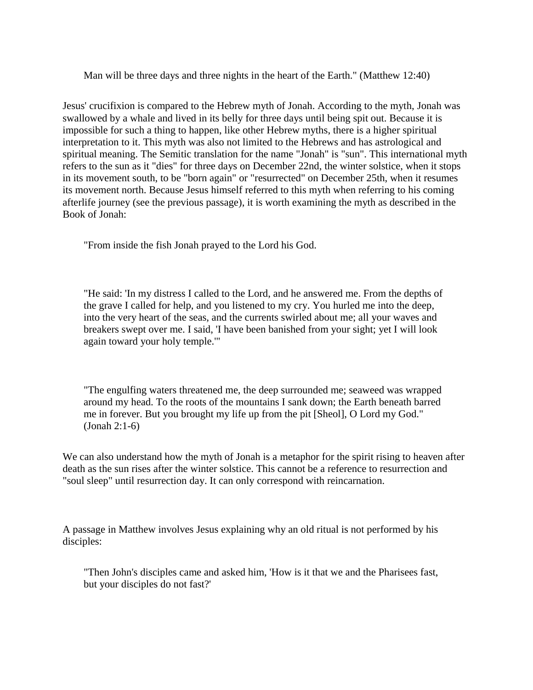Man will be three days and three nights in the heart of the Earth." (Matthew 12:40)

Jesus' crucifixion is compared to the Hebrew myth of Jonah. According to the myth, Jonah was swallowed by a whale and lived in its belly for three days until being spit out. Because it is impossible for such a thing to happen, like other Hebrew myths, there is a higher spiritual interpretation to it. This myth was also not limited to the Hebrews and has astrological and spiritual meaning. The Semitic translation for the name "Jonah" is "sun". This international myth refers to the sun as it "dies" for three days on December 22nd, the winter solstice, when it stops in its movement south, to be "born again" or "resurrected" on December 25th, when it resumes its movement north. Because Jesus himself referred to this myth when referring to his coming afterlife journey (see the previous passage), it is worth examining the myth as described in the Book of Jonah:

"From inside the fish Jonah prayed to the Lord his God.

"He said: 'In my distress I called to the Lord, and he answered me. From the depths of the grave I called for help, and you listened to my cry. You hurled me into the deep, into the very heart of the seas, and the currents swirled about me; all your waves and breakers swept over me. I said, 'I have been banished from your sight; yet I will look again toward your holy temple.'"

"The engulfing waters threatened me, the deep surrounded me; seaweed was wrapped around my head. To the roots of the mountains I sank down; the Earth beneath barred me in forever. But you brought my life up from the pit [Sheol], O Lord my God." (Jonah 2:1-6)

We can also understand how the myth of Jonah is a metaphor for the spirit rising to heaven after death as the sun rises after the winter solstice. This cannot be a reference to resurrection and "soul sleep" until resurrection day. It can only correspond with reincarnation.

A passage in Matthew involves Jesus explaining why an old ritual is not performed by his disciples:

"Then John's disciples came and asked him, 'How is it that we and the Pharisees fast, but your disciples do not fast?'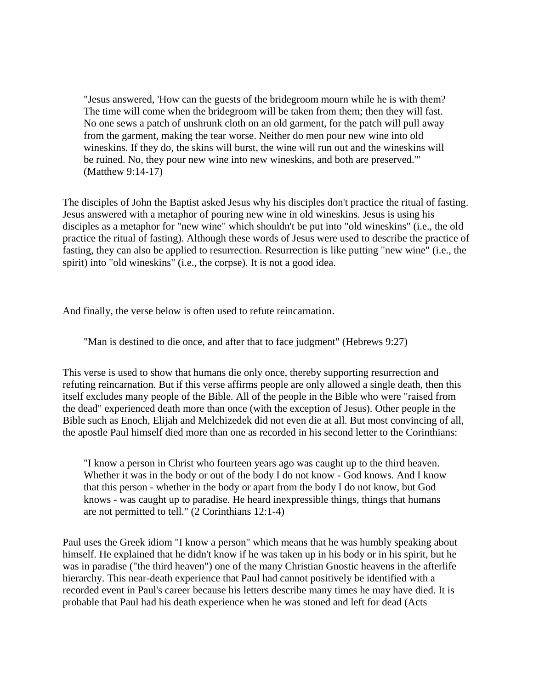"Jesus answered, 'How can the guests of the bridegroom mourn while he is with them? The time will come when the bridegroom will be taken from them; then they will fast. No one sews a patch of unshrunk cloth on an old garment, for the patch will pull away from the garment, making the tear worse. Neither do men pour new wine into old wineskins. If they do, the skins will burst, the wine will run out and the wineskins will be ruined. No, they pour new wine into new wineskins, and both are preserved.'" (Matthew 9:14-17)

The disciples of John the Baptist asked Jesus why his disciples don't practice the ritual of fasting. Jesus answered with a metaphor of pouring new wine in old wineskins. Jesus is using his disciples as a metaphor for "new wine" which shouldn't be put into "old wineskins" (i.e., the old practice the ritual of fasting). Although these words of Jesus were used to describe the practice of fasting, they can also be applied to resurrection. Resurrection is like putting "new wine" (i.e., the spirit) into "old wineskins" (i.e., the corpse). It is not a good idea.

And finally, the verse below is often used to refute reincarnation.

"Man is destined to die once, and after that to face judgment" (Hebrews 9:27)

This verse is used to show that humans die only once, thereby supporting resurrection and refuting reincarnation. But if this verse affirms people are only allowed a single death, then this itself excludes many people of the Bible. All of the people in the Bible who were "raised from the dead" experienced death more than once (with the exception of Jesus). Other people in the Bible such as Enoch, Elijah and Melchizedek did not even die at all. But most convincing of all, the apostle Paul himself died more than one as recorded in his second letter to the Corinthians:

"I know a person in Christ who fourteen years ago was caught up to the third heaven. Whether it was in the body or out of the body I do not know - God knows. And I know that this person - whether in the body or apart from the body I do not know, but God knows - was caught up to paradise. He heard inexpressible things, things that humans are not permitted to tell." (2 Corinthians 12:1-4)

Paul uses the Greek idiom "I know a person" which means that he was humbly speaking about himself. He explained that he didn't know if he was taken up in his body or in his spirit, but he was in paradise ("the third heaven") one of the many Christian Gnostic heavens in the afterlife hierarchy. This near-death experience that Paul had cannot positively be identified with a recorded event in Paul's career because his letters describe many times he may have died. It is probable that Paul had his death experience when he was stoned and left for dead (Acts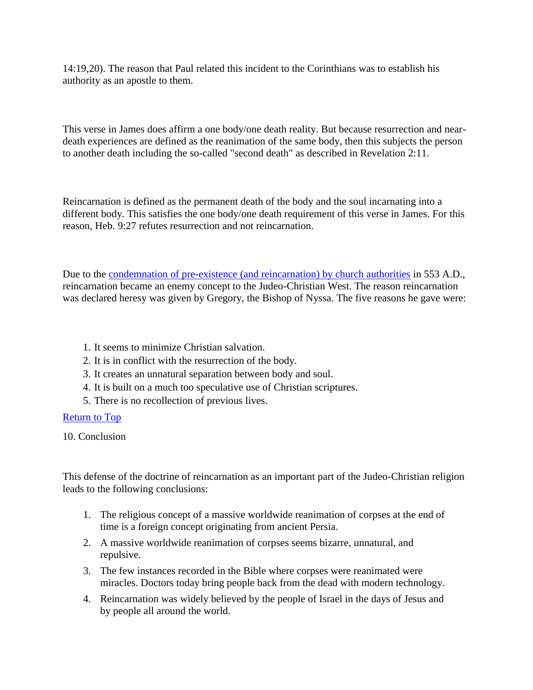14:19,20). The reason that Paul related this incident to the Corinthians was to establish his authority as an apostle to them.

This verse in James does affirm a one body/one death reality. But because resurrection and neardeath experiences are defined as the reanimation of the same body, then this subjects the person to another death including the so-called "second death" as described in Revelation 2:11.

Reincarnation is defined as the permanent death of the body and the soul incarnating into a different body. This satisfies the one body/one death requirement of this verse in James. For this reason, Heb. 9:27 refutes resurrection and not reincarnation.

Due to the [condemnation of pre-existence \(and reincarnation\) by church authorities](http://www.near-death.com/experiences/origen08.html) in 553 A.D., reincarnation became an enemy concept to the Judeo-Christian West. The reason reincarnation was declared heresy was given by Gregory, the Bishop of Nyssa. The five reasons he gave were:

- 1. It seems to minimize Christian salvation.
- 2. It is in conflict with the resurrection of the body.
- 3. It creates an unnatural separation between body and soul.
- 4. It is built on a much too speculative use of Christian scriptures.
- 5. There is no recollection of previous lives.

# [Return to Top](http://www.near-death.com/experiences/rebirth01.html#top)

10. Conclusion

This defense of the doctrine of reincarnation as an important part of the Judeo-Christian religion leads to the following conclusions:

- 1. The religious concept of a massive worldwide reanimation of corpses at the end of time is a foreign concept originating from ancient Persia.
- 2. A massive worldwide reanimation of corpses seems bizarre, unnatural, and repulsive.
- 3. The few instances recorded in the Bible where corpses were reanimated were miracles. Doctors today bring people back from the dead with modern technology.
- 4. Reincarnation was widely believed by the people of Israel in the days of Jesus and by people all around the world.